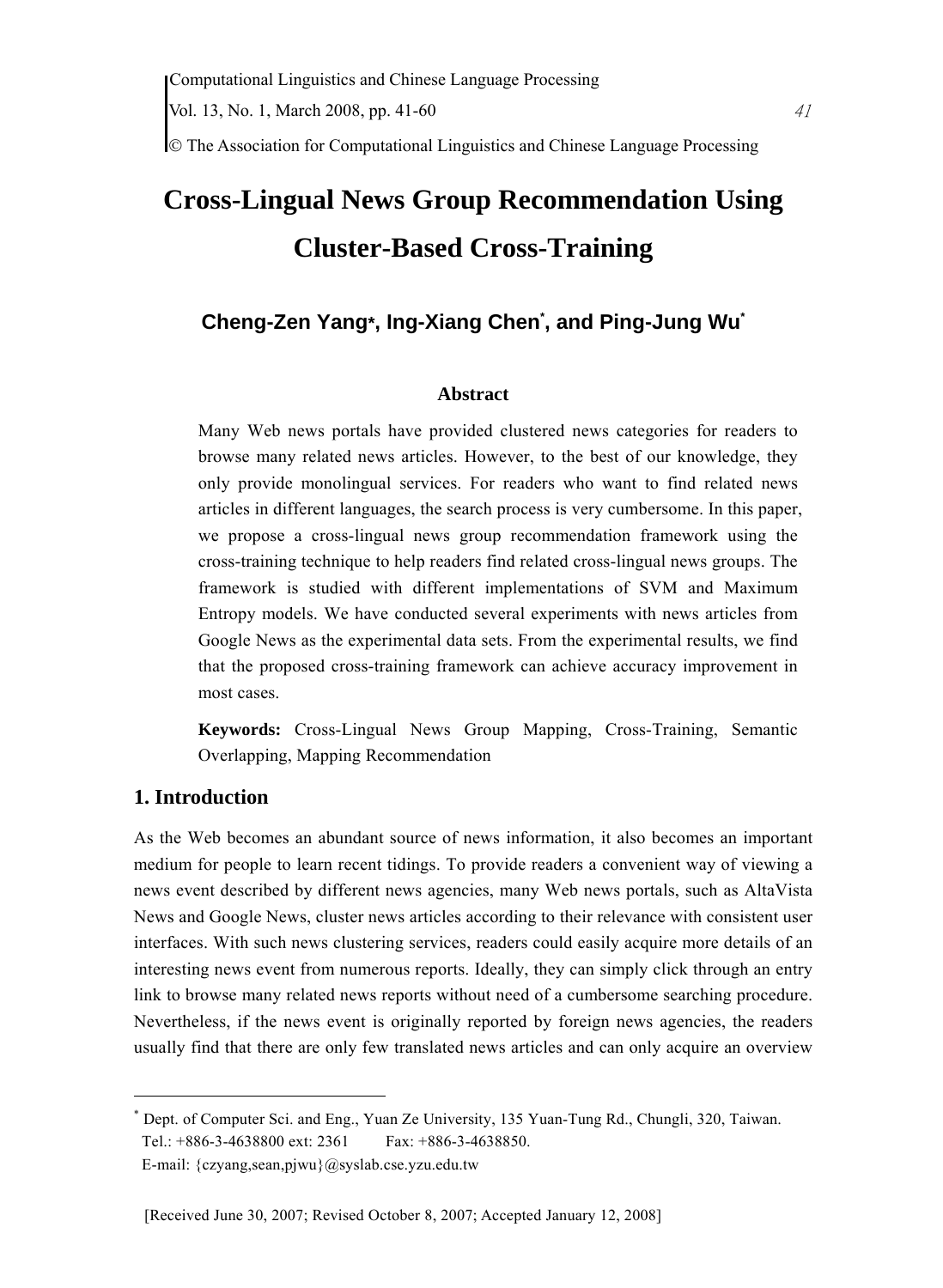© The Association for Computational Linguistics and Chinese Language Processing

# **Cross-Lingual News Group Recommendation Using Cluster-Based Cross-Training**

## **Cheng-Zen Yang\*, Ing-Xiang Chen\* , and Ping-Jung Wu\***

#### **Abstract**

Many Web news portals have provided clustered news categories for readers to browse many related news articles. However, to the best of our knowledge, they only provide monolingual services. For readers who want to find related news articles in different languages, the search process is very cumbersome. In this paper, we propose a cross-lingual news group recommendation framework using the cross-training technique to help readers find related cross-lingual news groups. The framework is studied with different implementations of SVM and Maximum Entropy models. We have conducted several experiments with news articles from Google News as the experimental data sets. From the experimental results, we find that the proposed cross-training framework can achieve accuracy improvement in most cases.

**Keywords:** Cross-Lingual News Group Mapping, Cross-Training, Semantic Overlapping, Mapping Recommendation

## **1. Introduction**

 $\overline{a}$ 

As the Web becomes an abundant source of news information, it also becomes an important medium for people to learn recent tidings. To provide readers a convenient way of viewing a news event described by different news agencies, many Web news portals, such as AltaVista News and Google News, cluster news articles according to their relevance with consistent user interfaces. With such news clustering services, readers could easily acquire more details of an interesting news event from numerous reports. Ideally, they can simply click through an entry link to browse many related news reports without need of a cumbersome searching procedure. Nevertheless, if the news event is originally reported by foreign news agencies, the readers usually find that there are only few translated news articles and can only acquire an overview

<sup>\*</sup> Dept. of Computer Sci. and Eng., Yuan Ze University, 135 Yuan-Tung Rd., Chungli, 320, Taiwan. Tel.: +886-3-4638800 ext: 2361 Fax: +886-3-4638850.

E-mail: {czyang,sean,pjwu}@syslab.cse.yzu.edu.tw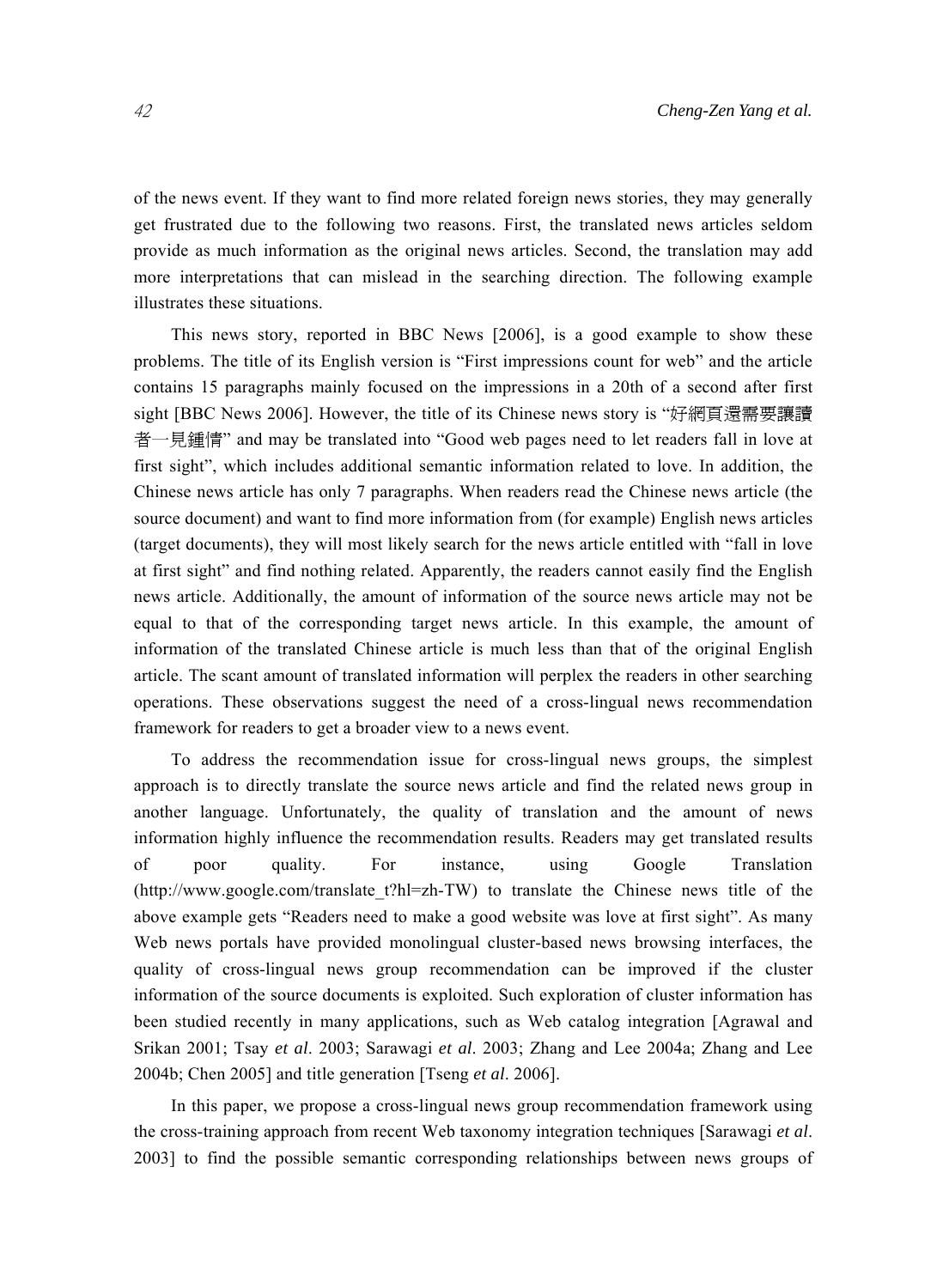of the news event. If they want to find more related foreign news stories, they may generally get frustrated due to the following two reasons. First, the translated news articles seldom provide as much information as the original news articles. Second, the translation may add more interpretations that can mislead in the searching direction. The following example illustrates these situations.

This news story, reported in BBC News [2006], is a good example to show these problems. The title of its English version is "First impressions count for web" and the article contains 15 paragraphs mainly focused on the impressions in a 20th of a second after first sight [BBC News 2006]. However, the title of its Chinese news story is "好網頁還需要讓讀 者一見鍾情" and may be translated into "Good web pages need to let readers fall in love at first sight", which includes additional semantic information related to love. In addition, the Chinese news article has only 7 paragraphs. When readers read the Chinese news article (the source document) and want to find more information from (for example) English news articles (target documents), they will most likely search for the news article entitled with "fall in love at first sight" and find nothing related. Apparently, the readers cannot easily find the English news article. Additionally, the amount of information of the source news article may not be equal to that of the corresponding target news article. In this example, the amount of information of the translated Chinese article is much less than that of the original English article. The scant amount of translated information will perplex the readers in other searching operations. These observations suggest the need of a cross-lingual news recommendation framework for readers to get a broader view to a news event.

To address the recommendation issue for cross-lingual news groups, the simplest approach is to directly translate the source news article and find the related news group in another language. Unfortunately, the quality of translation and the amount of news information highly influence the recommendation results. Readers may get translated results of poor quality. For instance, using Google Translation (http://www.google.com/translate\_t?hl=zh-TW) to translate the Chinese news title of the above example gets "Readers need to make a good website was love at first sight". As many Web news portals have provided monolingual cluster-based news browsing interfaces, the quality of cross-lingual news group recommendation can be improved if the cluster information of the source documents is exploited. Such exploration of cluster information has been studied recently in many applications, such as Web catalog integration [Agrawal and Srikan 2001; Tsay *et al*. 2003; Sarawagi *et al*. 2003; Zhang and Lee 2004a; Zhang and Lee 2004b; Chen 2005] and title generation [Tseng *et al*. 2006].

In this paper, we propose a cross-lingual news group recommendation framework using the cross-training approach from recent Web taxonomy integration techniques [Sarawagi *et al*. 2003] to find the possible semantic corresponding relationships between news groups of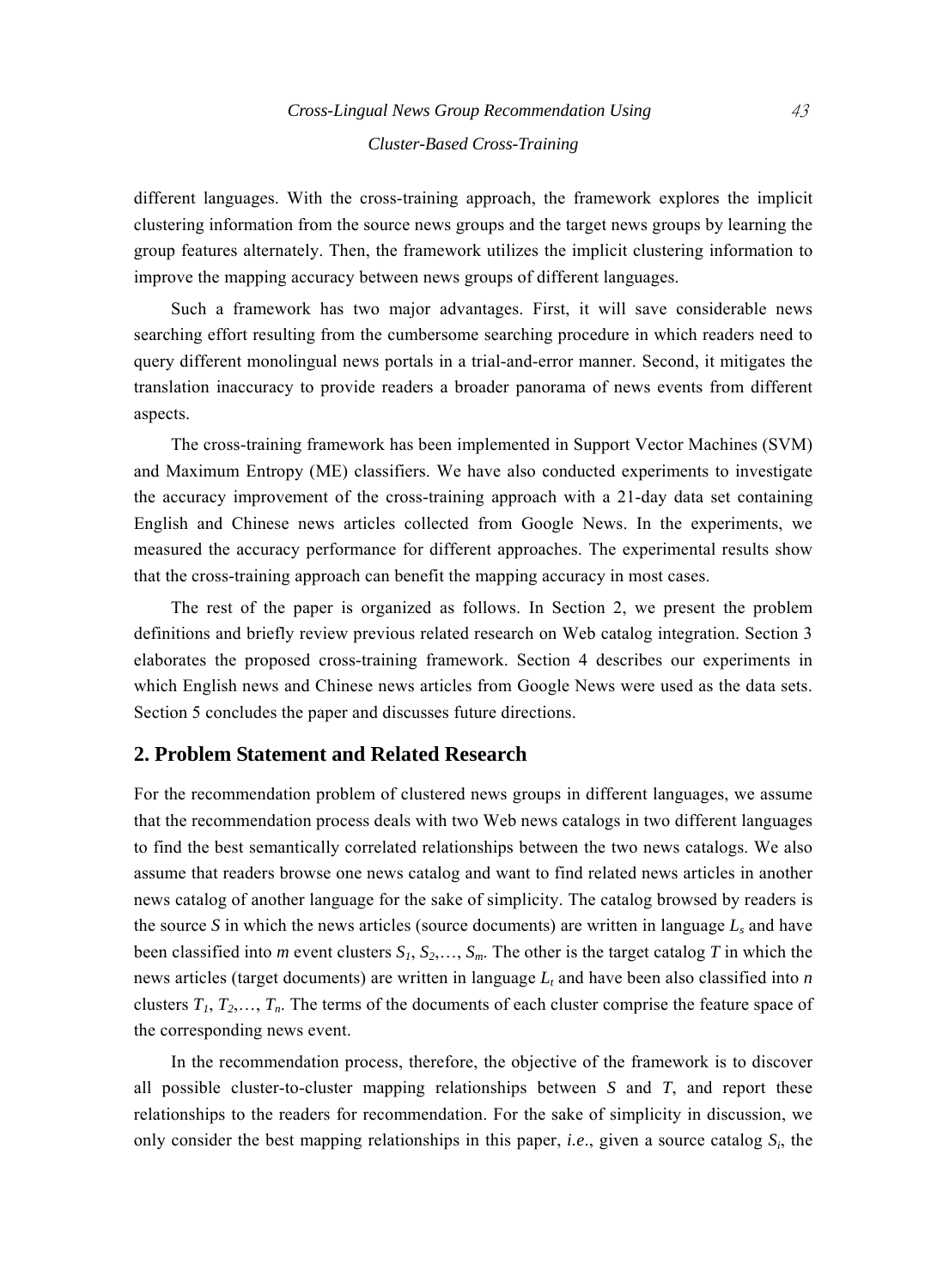different languages. With the cross-training approach, the framework explores the implicit clustering information from the source news groups and the target news groups by learning the group features alternately. Then, the framework utilizes the implicit clustering information to improve the mapping accuracy between news groups of different languages.

Such a framework has two major advantages. First, it will save considerable news searching effort resulting from the cumbersome searching procedure in which readers need to query different monolingual news portals in a trial-and-error manner. Second, it mitigates the translation inaccuracy to provide readers a broader panorama of news events from different aspects.

The cross-training framework has been implemented in Support Vector Machines (SVM) and Maximum Entropy (ME) classifiers. We have also conducted experiments to investigate the accuracy improvement of the cross-training approach with a 21-day data set containing English and Chinese news articles collected from Google News. In the experiments, we measured the accuracy performance for different approaches. The experimental results show that the cross-training approach can benefit the mapping accuracy in most cases.

The rest of the paper is organized as follows. In Section 2, we present the problem definitions and briefly review previous related research on Web catalog integration. Section 3 elaborates the proposed cross-training framework. Section 4 describes our experiments in which English news and Chinese news articles from Google News were used as the data sets. Section 5 concludes the paper and discusses future directions.

## **2. Problem Statement and Related Research**

For the recommendation problem of clustered news groups in different languages, we assume that the recommendation process deals with two Web news catalogs in two different languages to find the best semantically correlated relationships between the two news catalogs. We also assume that readers browse one news catalog and want to find related news articles in another news catalog of another language for the sake of simplicity. The catalog browsed by readers is the source *S* in which the news articles (source documents) are written in language  $L_s$  and have been classified into *m* event clusters  $S_1$ ,  $S_2$ ,...,  $S_m$ . The other is the target catalog *T* in which the news articles (target documents) are written in language  $L_t$  and have been also classified into  $n$ clusters  $T_1, T_2, \ldots, T_n$ . The terms of the documents of each cluster comprise the feature space of the corresponding news event.

In the recommendation process, therefore, the objective of the framework is to discover all possible cluster-to-cluster mapping relationships between *S* and *T*, and report these relationships to the readers for recommendation. For the sake of simplicity in discussion, we only consider the best mapping relationships in this paper, *i.e*., given a source catalog *Si*, the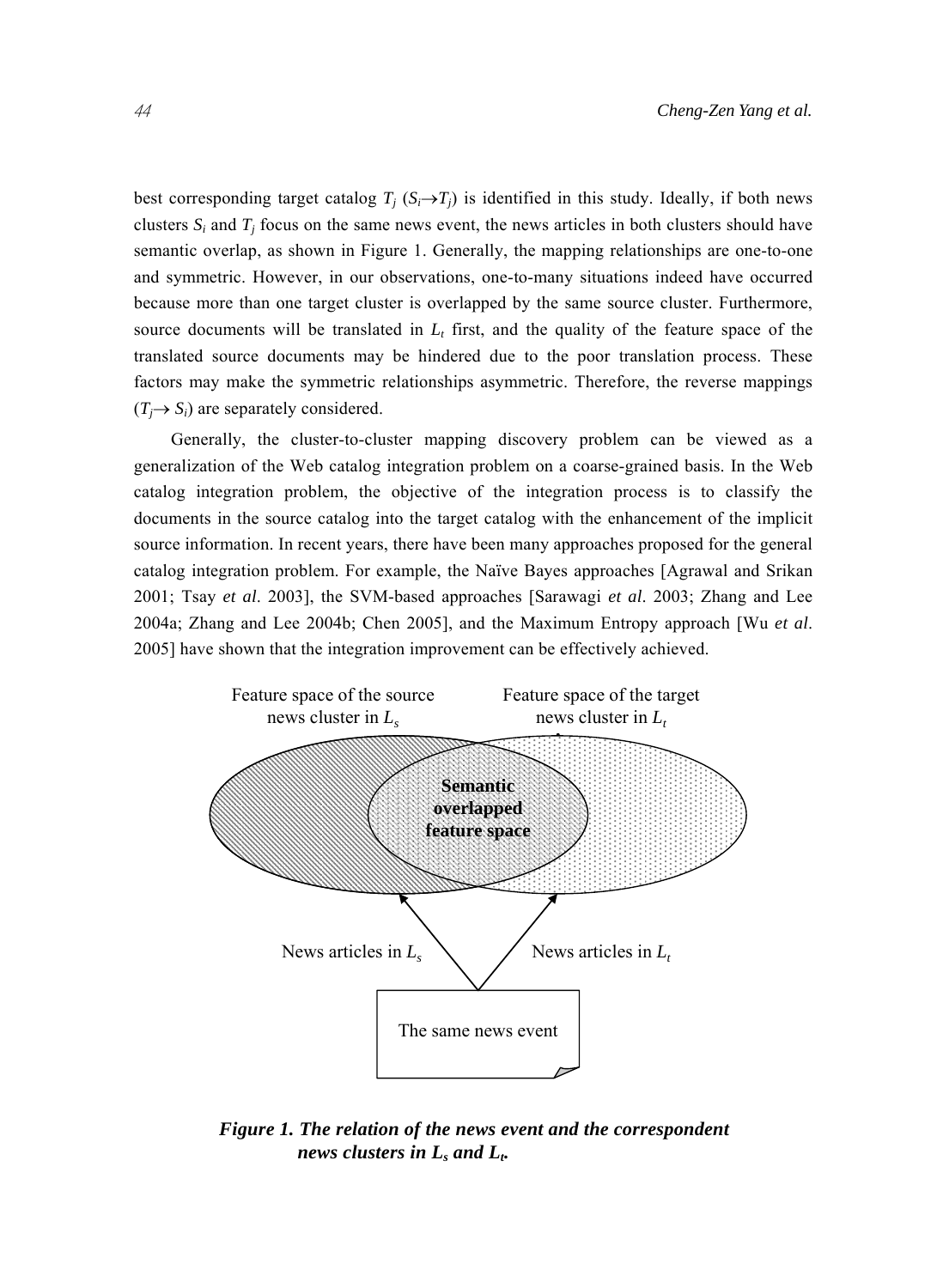best corresponding target catalog  $T_j$  ( $S_i \rightarrow T_j$ ) is identified in this study. Ideally, if both news clusters  $S_i$  and  $T_j$  focus on the same news event, the news articles in both clusters should have semantic overlap, as shown in Figure 1. Generally, the mapping relationships are one-to-one and symmetric. However, in our observations, one-to-many situations indeed have occurred because more than one target cluster is overlapped by the same source cluster. Furthermore, source documents will be translated in  $L<sub>t</sub>$  first, and the quality of the feature space of the translated source documents may be hindered due to the poor translation process. These factors may make the symmetric relationships asymmetric. Therefore, the reverse mappings  $(T_i \rightarrow S_i)$  are separately considered.

Generally, the cluster-to-cluster mapping discovery problem can be viewed as a generalization of the Web catalog integration problem on a coarse-grained basis. In the Web catalog integration problem, the objective of the integration process is to classify the documents in the source catalog into the target catalog with the enhancement of the implicit source information. In recent years, there have been many approaches proposed for the general catalog integration problem. For example, the Naïve Bayes approaches [Agrawal and Srikan 2001; Tsay *et al*. 2003], the SVM-based approaches [Sarawagi *et al*. 2003; Zhang and Lee 2004a; Zhang and Lee 2004b; Chen 2005], and the Maximum Entropy approach [Wu *et al*. 2005] have shown that the integration improvement can be effectively achieved.



*Figure 1. The relation of the news event and the correspondent news clusters in Ls and Lt.*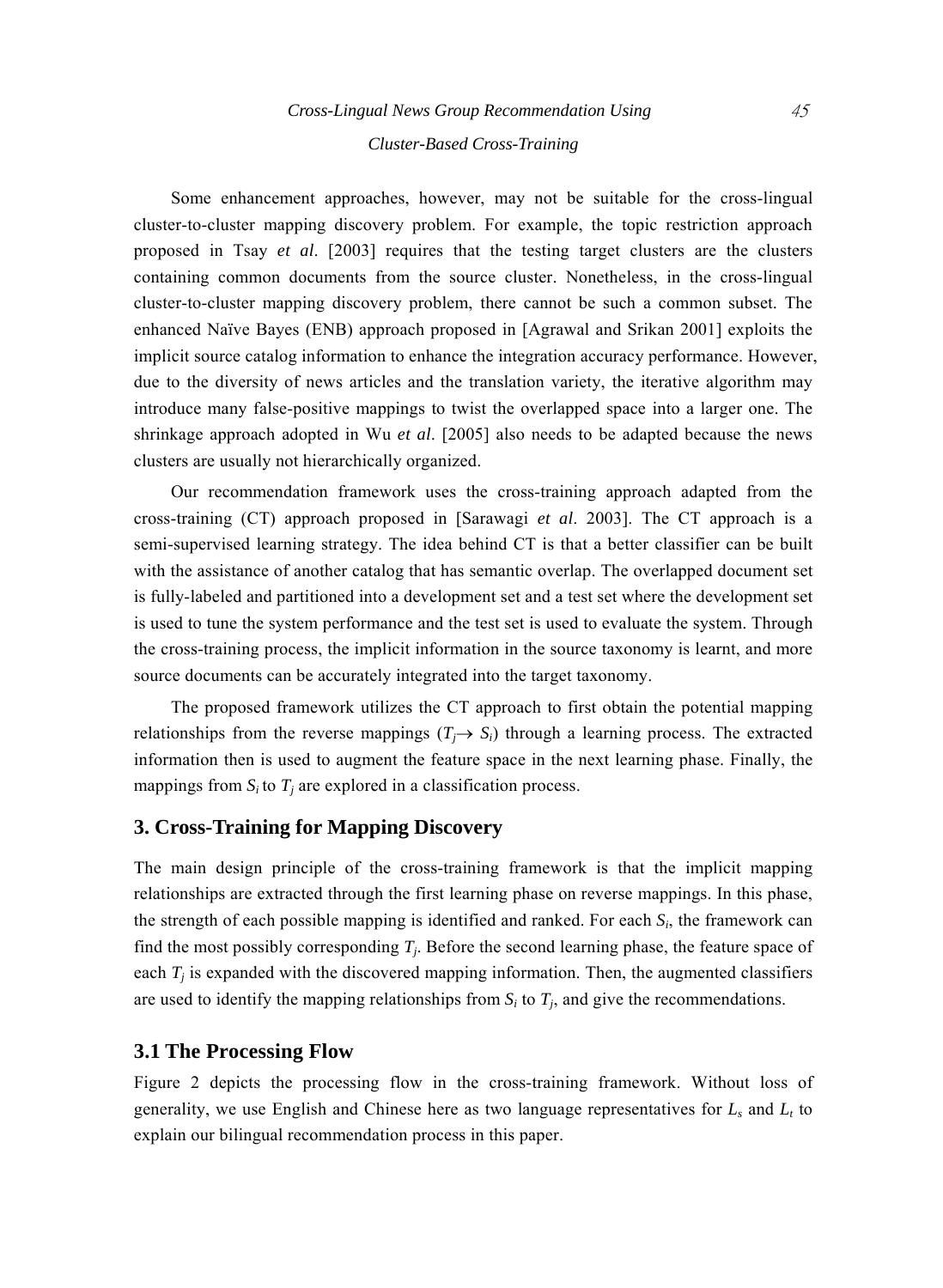# *Cross-Lingual News Group Recommendation Using* 45 *Cluster-Based Cross-Training*

Some enhancement approaches, however, may not be suitable for the cross-lingual cluster-to-cluster mapping discovery problem. For example, the topic restriction approach proposed in Tsay *et al*. [2003] requires that the testing target clusters are the clusters containing common documents from the source cluster. Nonetheless, in the cross-lingual cluster-to-cluster mapping discovery problem, there cannot be such a common subset. The enhanced Naïve Bayes (ENB) approach proposed in [Agrawal and Srikan 2001] exploits the implicit source catalog information to enhance the integration accuracy performance. However, due to the diversity of news articles and the translation variety, the iterative algorithm may introduce many false-positive mappings to twist the overlapped space into a larger one. The shrinkage approach adopted in Wu *et al*. [2005] also needs to be adapted because the news clusters are usually not hierarchically organized.

Our recommendation framework uses the cross-training approach adapted from the cross-training (CT) approach proposed in [Sarawagi *et al*. 2003]. The CT approach is a semi-supervised learning strategy. The idea behind CT is that a better classifier can be built with the assistance of another catalog that has semantic overlap. The overlapped document set is fully-labeled and partitioned into a development set and a test set where the development set is used to tune the system performance and the test set is used to evaluate the system. Through the cross-training process, the implicit information in the source taxonomy is learnt, and more source documents can be accurately integrated into the target taxonomy.

The proposed framework utilizes the CT approach to first obtain the potential mapping relationships from the reverse mappings  $(T_i \rightarrow S_i)$  through a learning process. The extracted information then is used to augment the feature space in the next learning phase. Finally, the mappings from  $S_i$  to  $T_j$  are explored in a classification process.

## **3. Cross-Training for Mapping Discovery**

The main design principle of the cross-training framework is that the implicit mapping relationships are extracted through the first learning phase on reverse mappings. In this phase, the strength of each possible mapping is identified and ranked. For each  $S_i$ , the framework can find the most possibly corresponding *Tj*. Before the second learning phase, the feature space of each  $T<sub>i</sub>$  is expanded with the discovered mapping information. Then, the augmented classifiers are used to identify the mapping relationships from  $S_i$  to  $T_j$ , and give the recommendations.

## **3.1 The Processing Flow**

Figure 2 depicts the processing flow in the cross-training framework. Without loss of generality, we use English and Chinese here as two language representatives for  $L_s$  and  $L_t$  to explain our bilingual recommendation process in this paper.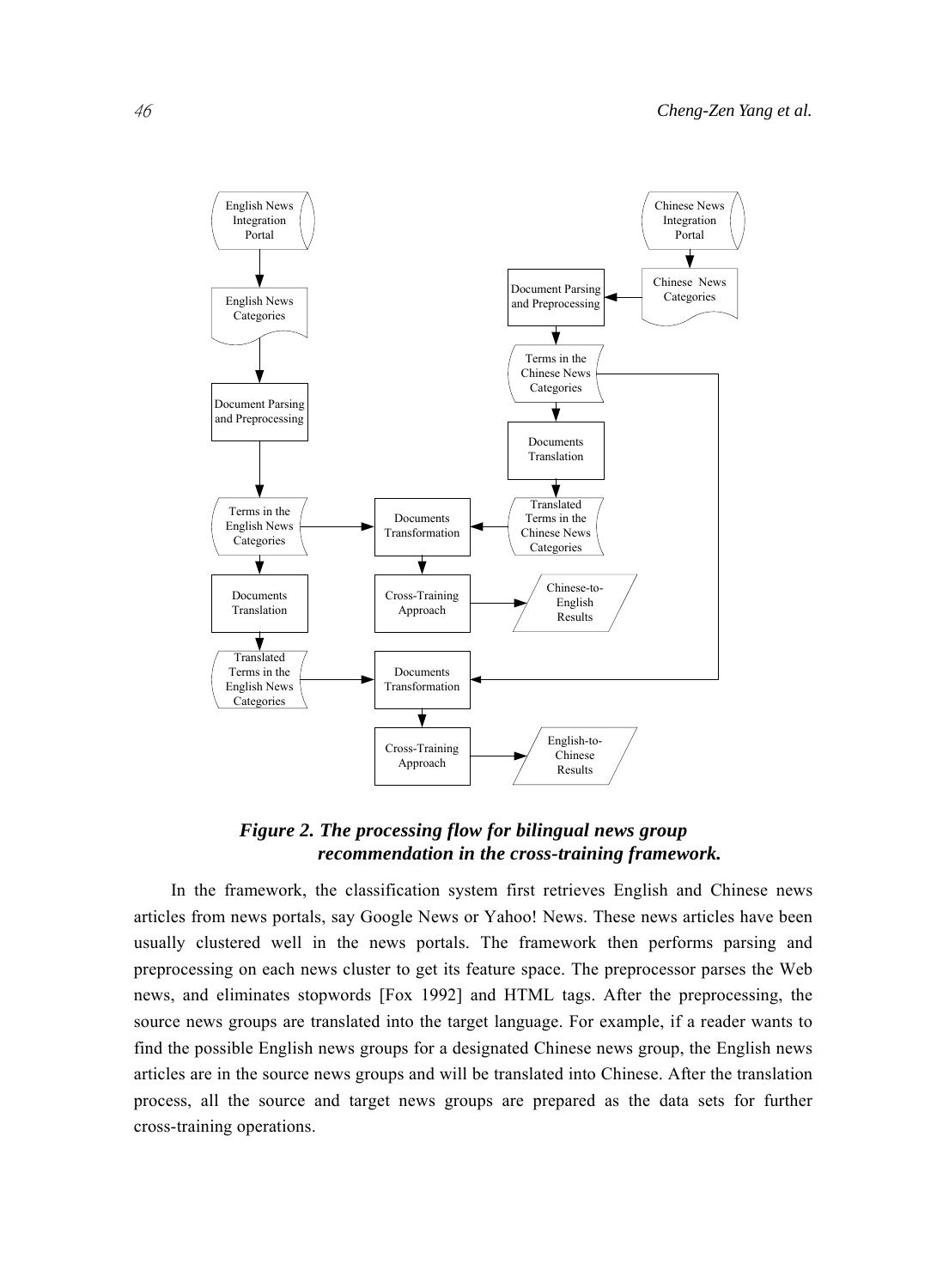

*Figure 2. The processing flow for bilingual news group recommendation in the cross-training framework.* 

In the framework, the classification system first retrieves English and Chinese news articles from news portals, say Google News or Yahoo! News. These news articles have been usually clustered well in the news portals. The framework then performs parsing and preprocessing on each news cluster to get its feature space. The preprocessor parses the Web news, and eliminates stopwords [Fox 1992] and HTML tags. After the preprocessing, the source news groups are translated into the target language. For example, if a reader wants to find the possible English news groups for a designated Chinese news group, the English news articles are in the source news groups and will be translated into Chinese. After the translation process, all the source and target news groups are prepared as the data sets for further cross-training operations.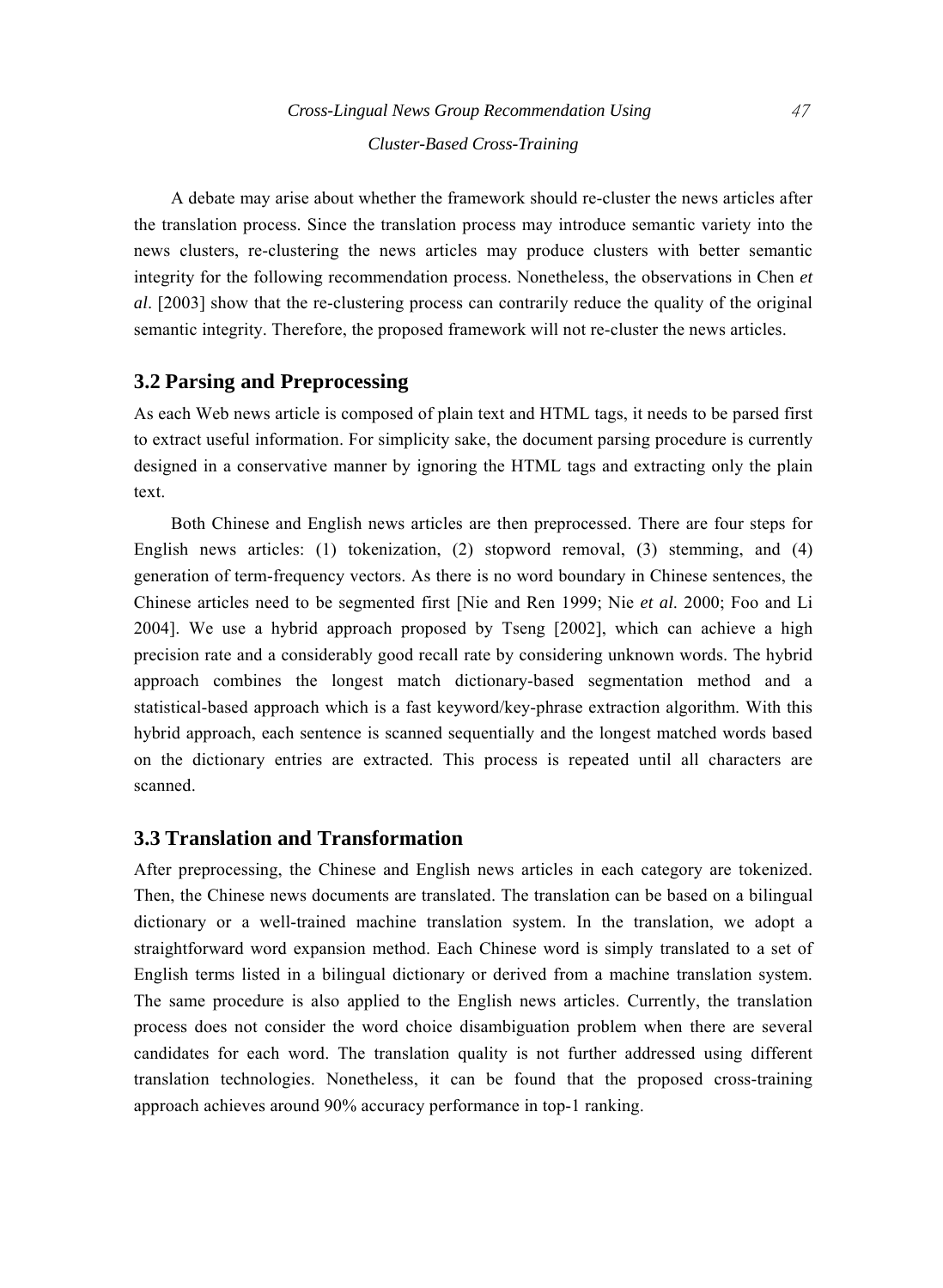A debate may arise about whether the framework should re-cluster the news articles after the translation process. Since the translation process may introduce semantic variety into the news clusters, re-clustering the news articles may produce clusters with better semantic integrity for the following recommendation process. Nonetheless, the observations in Chen *et al*. [2003] show that the re-clustering process can contrarily reduce the quality of the original semantic integrity. Therefore, the proposed framework will not re-cluster the news articles.

## **3.2 Parsing and Preprocessing**

As each Web news article is composed of plain text and HTML tags, it needs to be parsed first to extract useful information. For simplicity sake, the document parsing procedure is currently designed in a conservative manner by ignoring the HTML tags and extracting only the plain text.

Both Chinese and English news articles are then preprocessed. There are four steps for English news articles: (1) tokenization, (2) stopword removal, (3) stemming, and (4) generation of term-frequency vectors. As there is no word boundary in Chinese sentences, the Chinese articles need to be segmented first [Nie and Ren 1999; Nie *et al*. 2000; Foo and Li 2004]. We use a hybrid approach proposed by Tseng [2002], which can achieve a high precision rate and a considerably good recall rate by considering unknown words. The hybrid approach combines the longest match dictionary-based segmentation method and a statistical-based approach which is a fast keyword/key-phrase extraction algorithm. With this hybrid approach, each sentence is scanned sequentially and the longest matched words based on the dictionary entries are extracted. This process is repeated until all characters are scanned.

## **3.3 Translation and Transformation**

After preprocessing, the Chinese and English news articles in each category are tokenized. Then, the Chinese news documents are translated. The translation can be based on a bilingual dictionary or a well-trained machine translation system. In the translation, we adopt a straightforward word expansion method. Each Chinese word is simply translated to a set of English terms listed in a bilingual dictionary or derived from a machine translation system. The same procedure is also applied to the English news articles. Currently, the translation process does not consider the word choice disambiguation problem when there are several candidates for each word. The translation quality is not further addressed using different translation technologies. Nonetheless, it can be found that the proposed cross-training approach achieves around 90% accuracy performance in top-1 ranking.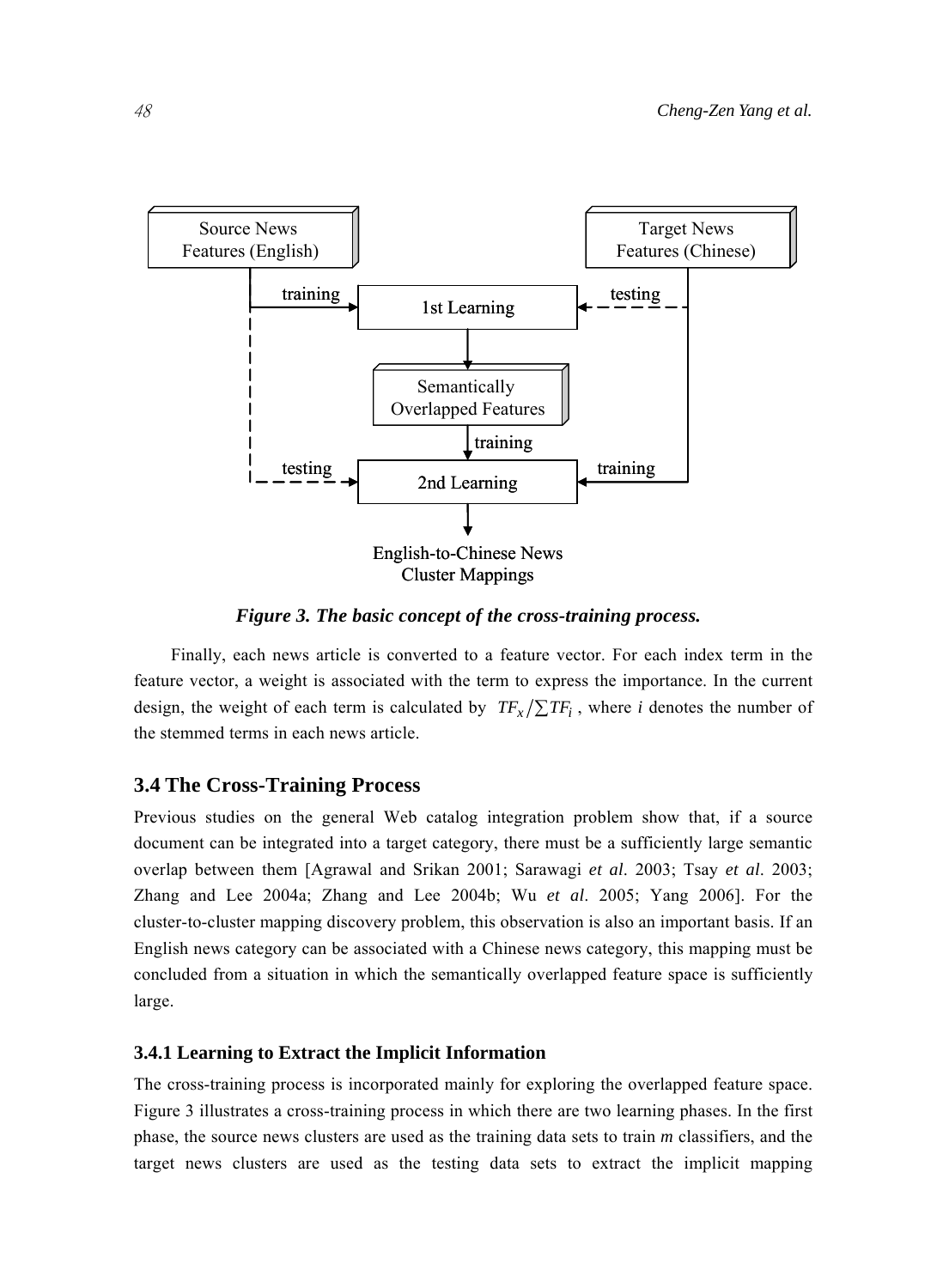

*Figure 3. The basic concept of the cross-training process.* 

Finally, each news article is converted to a feature vector. For each index term in the feature vector, a weight is associated with the term to express the importance. In the current design, the weight of each term is calculated by  $TF_x/\sum TF_i$ , where *i* denotes the number of the stemmed terms in each news article.

## **3.4 The Cross-Training Process**

Previous studies on the general Web catalog integration problem show that, if a source document can be integrated into a target category, there must be a sufficiently large semantic overlap between them [Agrawal and Srikan 2001; Sarawagi *et al*. 2003; Tsay *et al*. 2003; Zhang and Lee 2004a; Zhang and Lee 2004b; Wu *et al*. 2005; Yang 2006]. For the cluster-to-cluster mapping discovery problem, this observation is also an important basis. If an English news category can be associated with a Chinese news category, this mapping must be concluded from a situation in which the semantically overlapped feature space is sufficiently large.

#### **3.4.1 Learning to Extract the Implicit Information**

The cross-training process is incorporated mainly for exploring the overlapped feature space. Figure 3 illustrates a cross-training process in which there are two learning phases. In the first phase, the source news clusters are used as the training data sets to train *m* classifiers, and the target news clusters are used as the testing data sets to extract the implicit mapping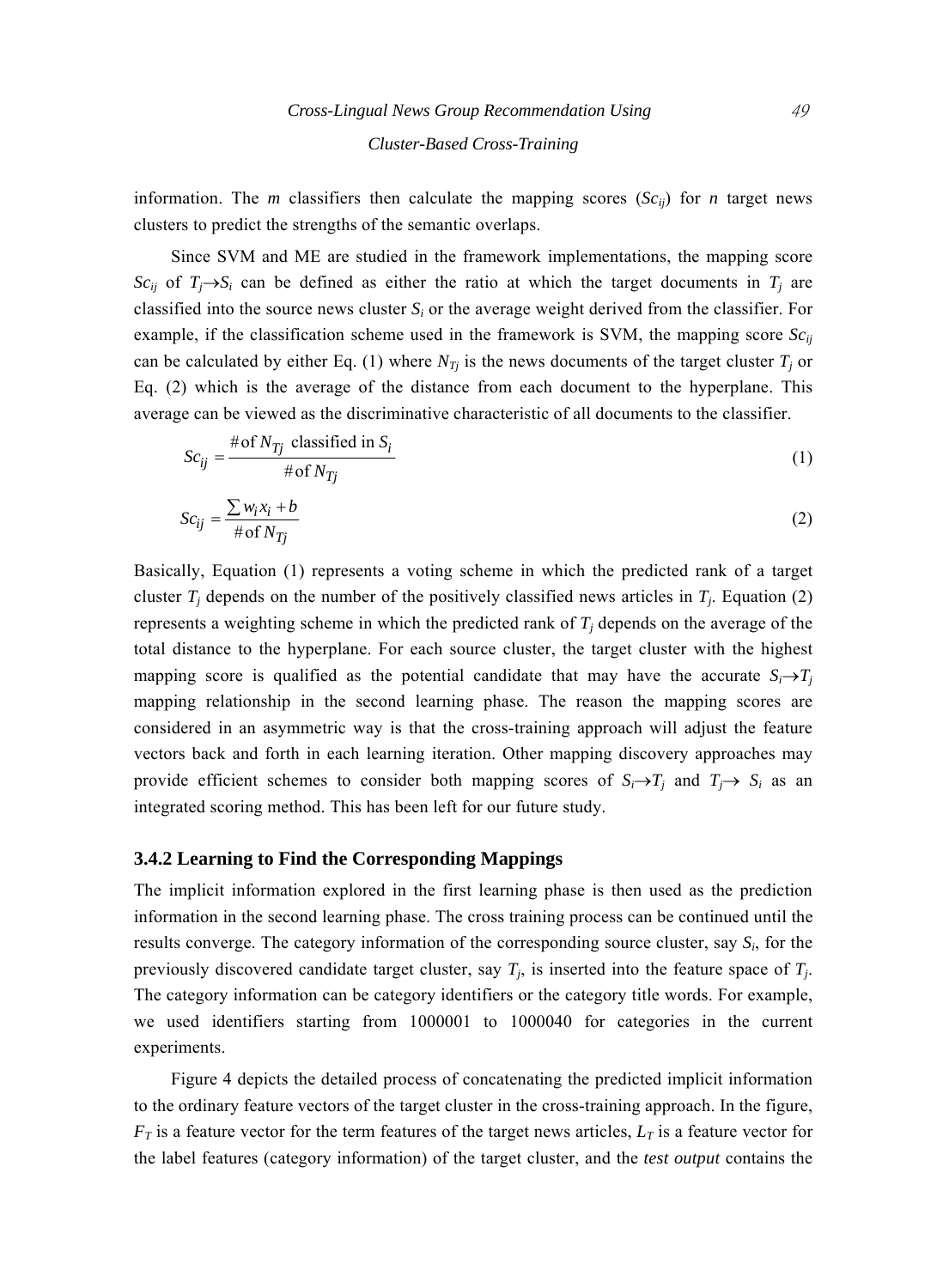information. The *m* classifiers then calculate the mapping scores  $(Sc_{ij})$  for *n* target news clusters to predict the strengths of the semantic overlaps.

Since SVM and ME are studied in the framework implementations, the mapping score *Sc<sub>ij</sub>* of  $T_i \rightarrow S_i$  can be defined as either the ratio at which the target documents in  $T_i$  are classified into the source news cluster *Si* or the average weight derived from the classifier. For example, if the classification scheme used in the framework is SVM, the mapping score  $Sc_{ij}$ can be calculated by either Eq. (1) where  $N_{Tj}$  is the news documents of the target cluster  $T_j$  or Eq. (2) which is the average of the distance from each document to the hyperplane. This average can be viewed as the discriminative characteristic of all documents to the classifier.

$$
Sc_{ij} = \frac{\text{#of } N_{Tj} \text{ classified in } S_i}{\text{#of } N_{Tj}}
$$
(1)

$$
Sc_{ij} = \frac{\sum w_i x_i + b}{\# \text{of } N_{Tj}}
$$
(2)

Basically, Equation (1) represents a voting scheme in which the predicted rank of a target cluster  $T_i$  depends on the number of the positively classified news articles in  $T_i$ . Equation (2) represents a weighting scheme in which the predicted rank of  $T_j$  depends on the average of the total distance to the hyperplane. For each source cluster, the target cluster with the highest mapping score is qualified as the potential candidate that may have the accurate  $S_i \rightarrow T_j$ mapping relationship in the second learning phase. The reason the mapping scores are considered in an asymmetric way is that the cross-training approach will adjust the feature vectors back and forth in each learning iteration. Other mapping discovery approaches may provide efficient schemes to consider both mapping scores of  $S_i \rightarrow T_j$  and  $T_j \rightarrow S_i$  as an integrated scoring method. This has been left for our future study.

#### **3.4.2 Learning to Find the Corresponding Mappings**

The implicit information explored in the first learning phase is then used as the prediction information in the second learning phase. The cross training process can be continued until the results converge. The category information of the corresponding source cluster, say  $S_i$ , for the previously discovered candidate target cluster, say  $T_j$ , is inserted into the feature space of  $T_j$ . The category information can be category identifiers or the category title words. For example, we used identifiers starting from 1000001 to 1000040 for categories in the current experiments.

Figure 4 depicts the detailed process of concatenating the predicted implicit information to the ordinary feature vectors of the target cluster in the cross-training approach. In the figure,  $F_T$  is a feature vector for the term features of the target news articles,  $L_T$  is a feature vector for the label features (category information) of the target cluster, and the *test output* contains the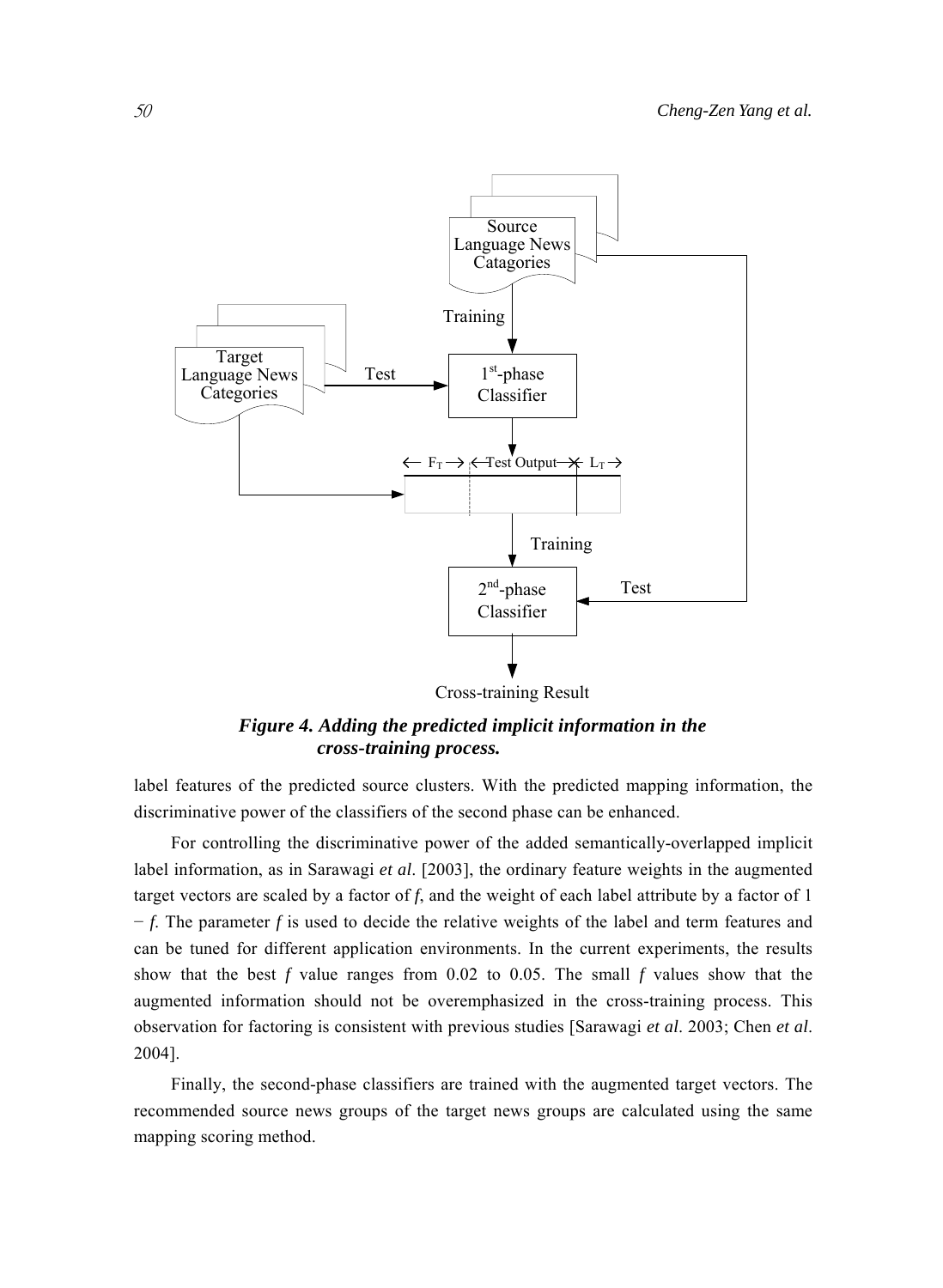

Cross-training Result

*Figure 4. Adding the predicted implicit information in the cross-training process.* 

label features of the predicted source clusters. With the predicted mapping information, the discriminative power of the classifiers of the second phase can be enhanced.

For controlling the discriminative power of the added semantically-overlapped implicit label information, as in Sarawagi *et al*. [2003], the ordinary feature weights in the augmented target vectors are scaled by a factor of *f*, and the weight of each label attribute by a factor of 1 − *f*. The parameter *f* is used to decide the relative weights of the label and term features and can be tuned for different application environments. In the current experiments, the results show that the best *f* value ranges from 0.02 to 0.05. The small *f* values show that the augmented information should not be overemphasized in the cross-training process. This observation for factoring is consistent with previous studies [Sarawagi *et al*. 2003; Chen *et al*. 2004].

Finally, the second-phase classifiers are trained with the augmented target vectors. The recommended source news groups of the target news groups are calculated using the same mapping scoring method.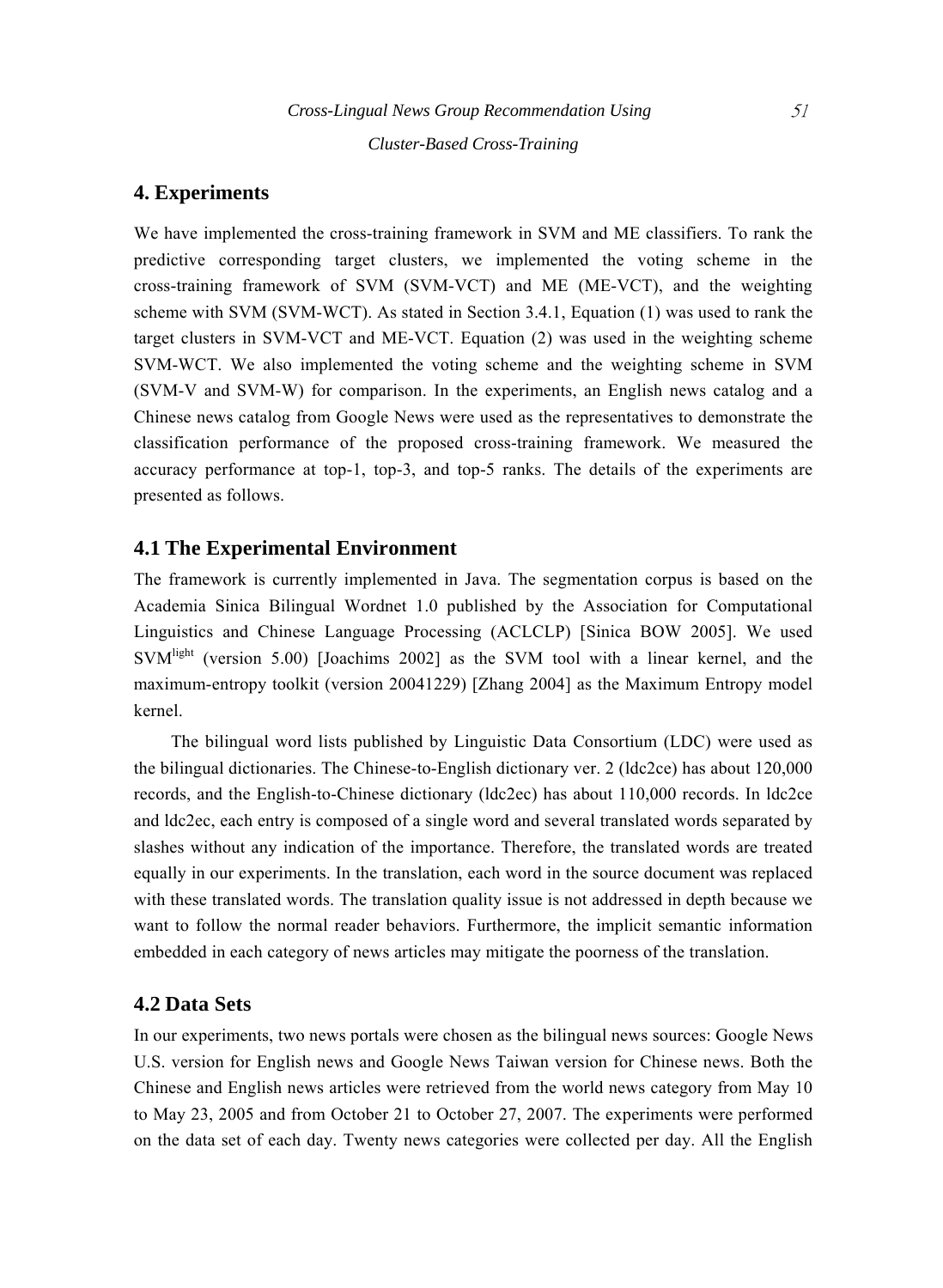*Cluster-Based Cross-Training* 

## **4. Experiments**

We have implemented the cross-training framework in SVM and ME classifiers. To rank the predictive corresponding target clusters, we implemented the voting scheme in the cross-training framework of SVM (SVM-VCT) and ME (ME-VCT), and the weighting scheme with SVM (SVM-WCT). As stated in Section 3.4.1, Equation (1) was used to rank the target clusters in SVM-VCT and ME-VCT. Equation (2) was used in the weighting scheme SVM-WCT. We also implemented the voting scheme and the weighting scheme in SVM (SVM-V and SVM-W) for comparison. In the experiments, an English news catalog and a Chinese news catalog from Google News were used as the representatives to demonstrate the classification performance of the proposed cross-training framework. We measured the accuracy performance at top-1, top-3, and top-5 ranks. The details of the experiments are presented as follows.

## **4.1 The Experimental Environment**

The framework is currently implemented in Java. The segmentation corpus is based on the Academia Sinica Bilingual Wordnet 1.0 published by the Association for Computational Linguistics and Chinese Language Processing (ACLCLP) [Sinica BOW 2005]. We used SVM<sup>light</sup> (version 5.00) [Joachims 2002] as the SVM tool with a linear kernel, and the maximum-entropy toolkit (version 20041229) [Zhang 2004] as the Maximum Entropy model kernel.

The bilingual word lists published by Linguistic Data Consortium (LDC) were used as the bilingual dictionaries. The Chinese-to-English dictionary ver. 2 (ldc2ce) has about 120,000 records, and the English-to-Chinese dictionary (ldc2ec) has about 110,000 records. In ldc2ce and ldc2ec, each entry is composed of a single word and several translated words separated by slashes without any indication of the importance. Therefore, the translated words are treated equally in our experiments. In the translation, each word in the source document was replaced with these translated words. The translation quality issue is not addressed in depth because we want to follow the normal reader behaviors. Furthermore, the implicit semantic information embedded in each category of news articles may mitigate the poorness of the translation.

## **4.2 Data Sets**

In our experiments, two news portals were chosen as the bilingual news sources: Google News U.S. version for English news and Google News Taiwan version for Chinese news. Both the Chinese and English news articles were retrieved from the world news category from May 10 to May 23, 2005 and from October 21 to October 27, 2007. The experiments were performed on the data set of each day. Twenty news categories were collected per day. All the English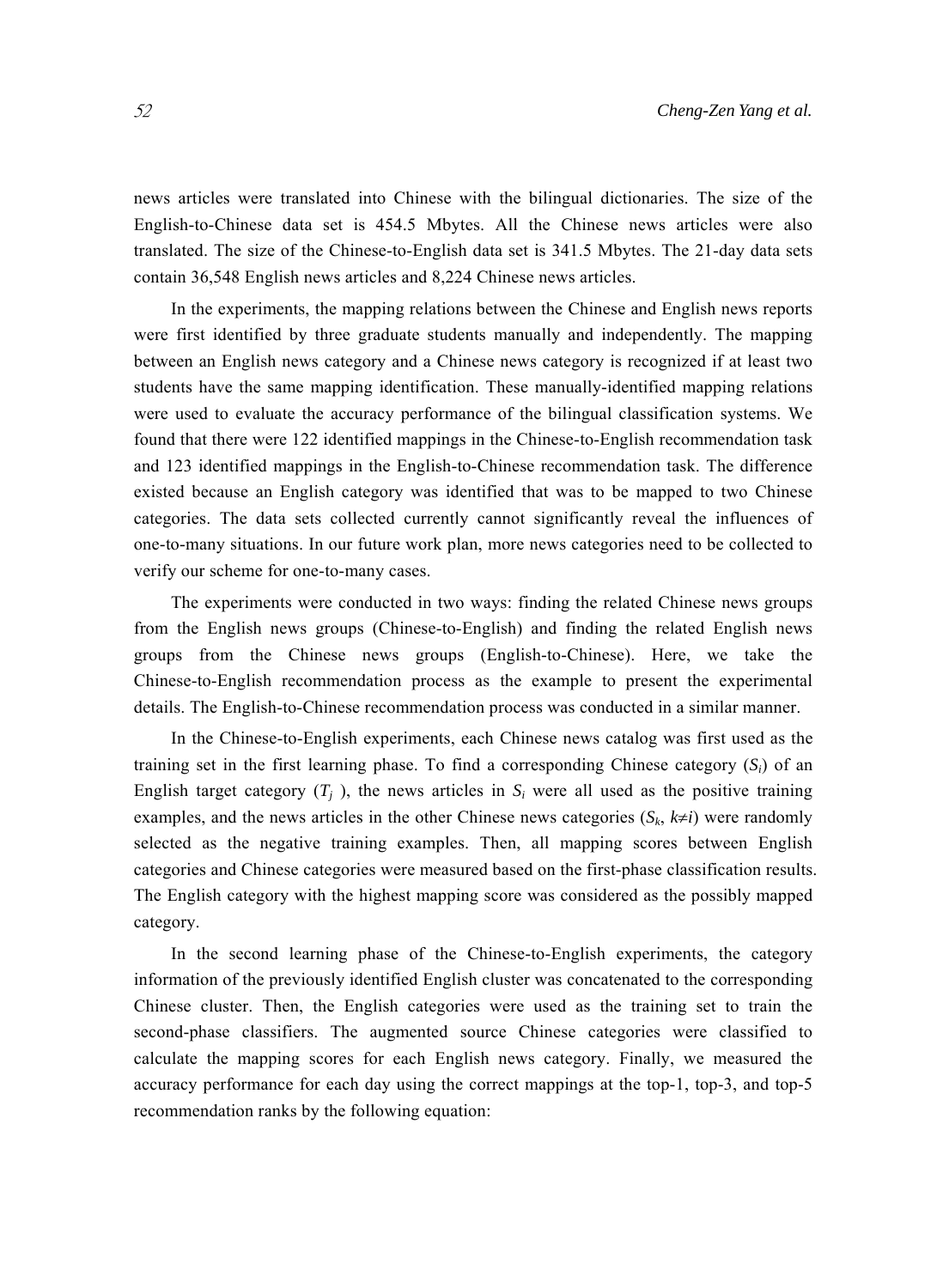news articles were translated into Chinese with the bilingual dictionaries. The size of the English-to-Chinese data set is 454.5 Mbytes. All the Chinese news articles were also translated. The size of the Chinese-to-English data set is 341.5 Mbytes. The 21-day data sets contain 36,548 English news articles and 8,224 Chinese news articles.

In the experiments, the mapping relations between the Chinese and English news reports were first identified by three graduate students manually and independently. The mapping between an English news category and a Chinese news category is recognized if at least two students have the same mapping identification. These manually-identified mapping relations were used to evaluate the accuracy performance of the bilingual classification systems. We found that there were 122 identified mappings in the Chinese-to-English recommendation task and 123 identified mappings in the English-to-Chinese recommendation task. The difference existed because an English category was identified that was to be mapped to two Chinese categories. The data sets collected currently cannot significantly reveal the influences of one-to-many situations. In our future work plan, more news categories need to be collected to verify our scheme for one-to-many cases.

The experiments were conducted in two ways: finding the related Chinese news groups from the English news groups (Chinese-to-English) and finding the related English news groups from the Chinese news groups (English-to-Chinese). Here, we take the Chinese-to-English recommendation process as the example to present the experimental details. The English-to-Chinese recommendation process was conducted in a similar manner.

In the Chinese-to-English experiments, each Chinese news catalog was first used as the training set in the first learning phase. To find a corresponding Chinese category (*Si*) of an English target category  $(T_i)$ , the news articles in  $S_i$  were all used as the positive training examples, and the news articles in the other Chinese news categories  $(S_k, k\neq i)$  were randomly selected as the negative training examples. Then, all mapping scores between English categories and Chinese categories were measured based on the first-phase classification results. The English category with the highest mapping score was considered as the possibly mapped category.

In the second learning phase of the Chinese-to-English experiments, the category information of the previously identified English cluster was concatenated to the corresponding Chinese cluster. Then, the English categories were used as the training set to train the second-phase classifiers. The augmented source Chinese categories were classified to calculate the mapping scores for each English news category. Finally, we measured the accuracy performance for each day using the correct mappings at the top-1, top-3, and top-5 recommendation ranks by the following equation: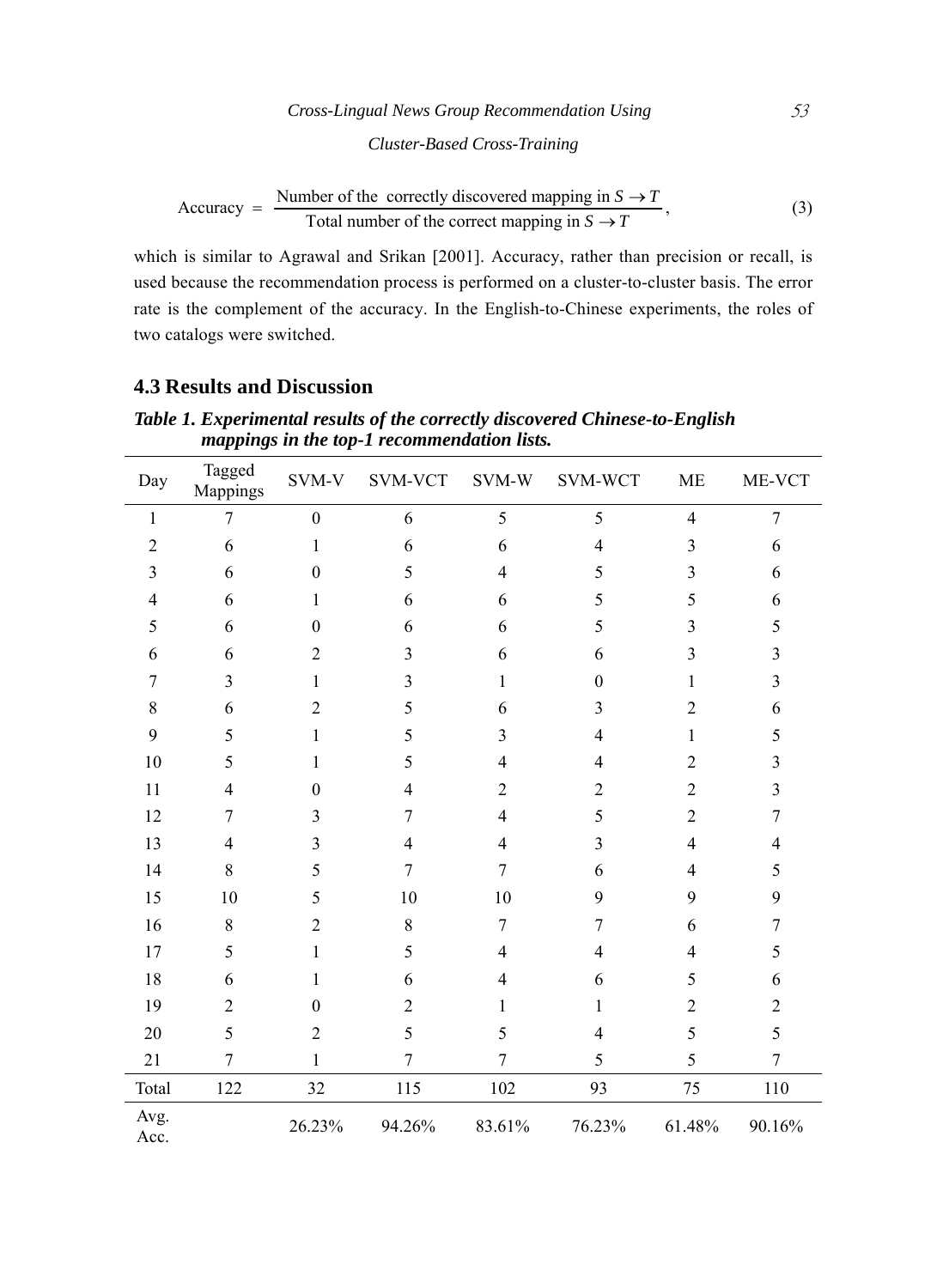# *Cross-Lingual News Group Recommendation Using* 53 *Cluster-Based Cross-Training*

$$
Accuracy = \frac{Number of the correctly discovered mapping in S \to T}{Total number of the correct mapping in S \to T},
$$
\n(3)

which is similar to Agrawal and Srikan [2001]. Accuracy, rather than precision or recall, is used because the recommendation process is performed on a cluster-to-cluster basis. The error rate is the complement of the accuracy. In the English-to-Chinese experiments, the roles of two catalogs were switched.

## **4.3 Results and Discussion**

|                | Tagged         |                  |                |                |                |                | ME-VCT           |
|----------------|----------------|------------------|----------------|----------------|----------------|----------------|------------------|
| Day            | Mappings       | SVM-V            | SVM-VCT        | SVM-W          | SVM-WCT        | <b>ME</b>      |                  |
| $\mathbf{1}$   | 7              | $\boldsymbol{0}$ | 6              | 5              | 5              | $\overline{4}$ | $\overline{7}$   |
| $\overline{2}$ | 6              | 1                | 6              | 6              | $\overline{4}$ | 3              | 6                |
| 3              | 6              | $\boldsymbol{0}$ | 5              | 4              | 5              | 3              | 6                |
| 4              | 6              | 1                | 6              | 6              | 5              | 5              | 6                |
| 5              | 6              | $\boldsymbol{0}$ | 6              | 6              | 5              | 3              | 5                |
| 6              | 6              | $\overline{2}$   | 3              | 6              | 6              | 3              | $\mathfrak{Z}$   |
| 7              | 3              | 1                | $\mathfrak{Z}$ | 1              | $\theta$       | $\mathbf{1}$   | $\mathfrak{Z}$   |
| 8              | 6              | $\overline{2}$   | 5              | 6              | 3              | $\overline{2}$ | 6                |
| 9              | 5              | 1                | 5              | 3              | $\overline{4}$ | 1              | 5                |
| 10             | 5              | 1                | 5              | 4              | $\overline{4}$ | $\overline{2}$ | $\overline{3}$   |
| 11             | $\overline{4}$ | $\theta$         | $\overline{4}$ | $\overline{2}$ | $\overline{2}$ | $\overline{2}$ | $\mathfrak{Z}$   |
| 12             | 7              | 3                | 7              | 4              | 5              | $\overline{2}$ | $\overline{7}$   |
| 13             | $\overline{4}$ | 3                | $\overline{4}$ | 4              | 3              | 4              | 4                |
| 14             | 8              | 5                | $\overline{7}$ | 7              | 6              | 4              | 5                |
| 15             | 10             | 5                | 10             | 10             | 9              | 9              | 9                |
| 16             | $\,8\,$        | $\overline{2}$   | $\,8\,$        | $\overline{7}$ | 7              | 6              | $\boldsymbol{7}$ |
| 17             | 5              | 1                | 5              | 4              | $\overline{4}$ | 4              | 5                |
| 18             | 6              | 1                | 6              | 4              | 6              | 5              | 6                |
| 19             | $\overline{2}$ | $\boldsymbol{0}$ | $\overline{2}$ | 1              | $\mathbf{1}$   | $\overline{2}$ | $\overline{2}$   |
| 20             | 5              | $\overline{2}$   | 5              | 5              | $\overline{4}$ | 5              | 5                |
| 21             | $\overline{7}$ | 1                | $\overline{7}$ | $\overline{7}$ | 5              | 5              | $\overline{7}$   |
| Total          | 122            | 32               | 115            | 102            | 93             | 75             | 110              |
| Avg.<br>Acc.   |                | 26.23%           | 94.26%         | 83.61%         | 76.23%         | 61.48%         | 90.16%           |

*Table 1. Experimental results of the correctly discovered Chinese-to-English mappings in the top-1 recommendation lists.*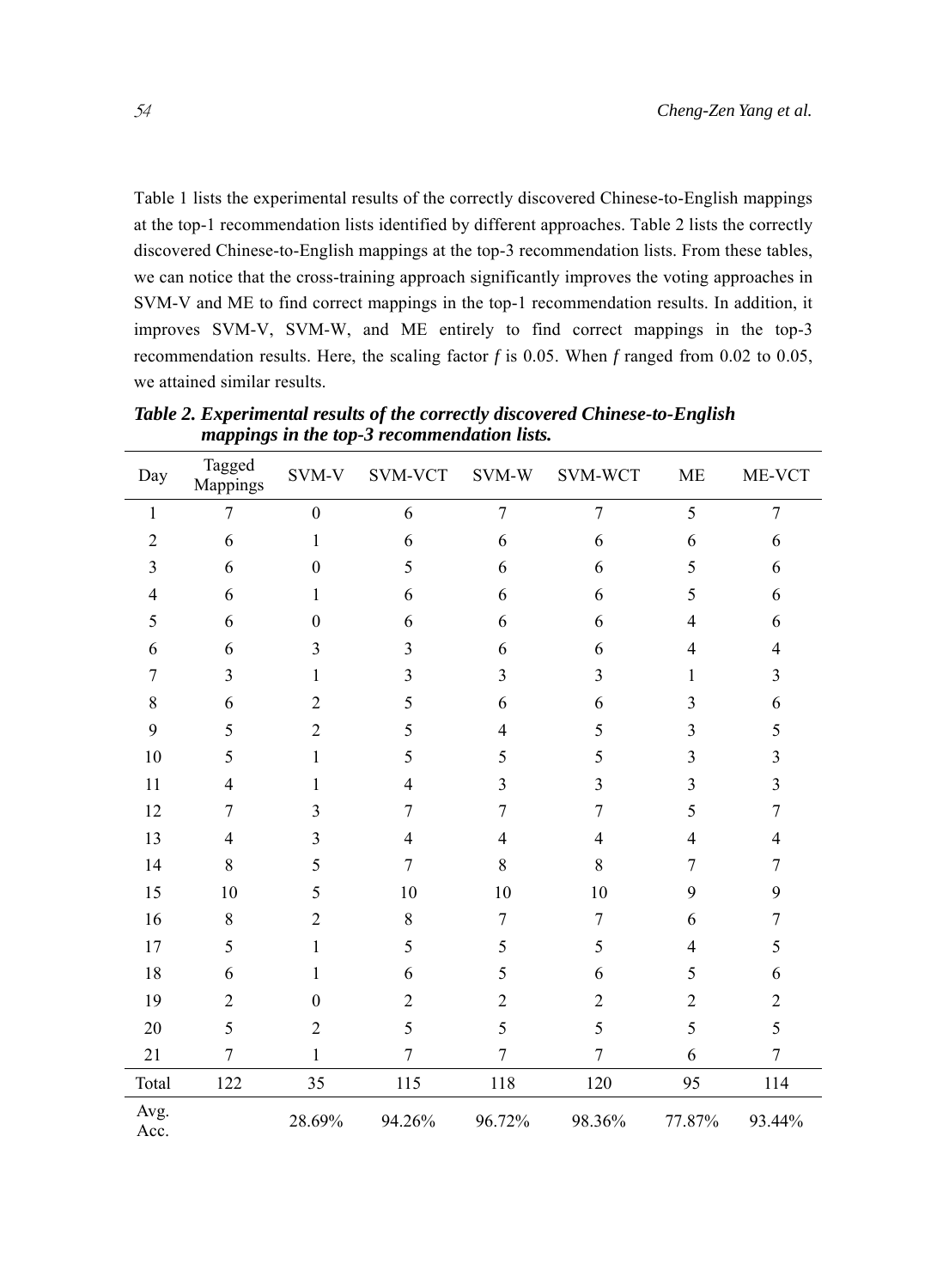Table 1 lists the experimental results of the correctly discovered Chinese-to-English mappings at the top-1 recommendation lists identified by different approaches. Table 2 lists the correctly discovered Chinese-to-English mappings at the top-3 recommendation lists. From these tables, we can notice that the cross-training approach significantly improves the voting approaches in SVM-V and ME to find correct mappings in the top-1 recommendation results. In addition, it improves SVM-V, SVM-W, and ME entirely to find correct mappings in the top-3 recommendation results. Here, the scaling factor *f* is 0.05. When *f* ranged from 0.02 to 0.05, we attained similar results.

| Day            | Tagged<br>Mappings | SVM-V            | SVM-VCT        | SVM-W            | SVM-WCT        | ME             | ME-VCT           |
|----------------|--------------------|------------------|----------------|------------------|----------------|----------------|------------------|
| $\mathbf{1}$   | 7                  | $\boldsymbol{0}$ | 6              | $\boldsymbol{7}$ | $\tau$         | 5              | $\boldsymbol{7}$ |
| $\overline{2}$ | 6                  | $\mathbf{1}$     | 6              | 6                | 6              | 6              | 6                |
| 3              | 6                  | $\boldsymbol{0}$ | 5              | 6                | 6              | 5              | 6                |
| $\overline{4}$ | 6                  | $\mathbf{1}$     | 6              | 6                | 6              | 5              | 6                |
| 5              | 6                  | $\theta$         | 6              | 6                | 6              | 4              | 6                |
| 6              | 6                  | 3                | 3              | 6                | 6              | 4              | $\overline{4}$   |
| $\overline{7}$ | 3                  | 1                | 3              | 3                | $\overline{3}$ | 1              | 3                |
| 8              | 6                  | $\overline{2}$   | 5              | 6                | 6              | 3              | 6                |
| 9              | 5                  | $\overline{2}$   | 5              | 4                | 5              | 3              | 5                |
| 10             | 5                  | $\mathbf{1}$     | 5              | 5                | 5              | 3              | 3                |
| 11             | 4                  | 1                | 4              | 3                | 3              | 3              | 3                |
| 12             | 7                  | 3                | 7              | 7                | 7              | 5              | 7                |
| 13             | 4                  | 3                | 4              | 4                | 4              | 4              | 4                |
| 14             | 8                  | 5                | $\overline{7}$ | $8\,$            | 8              | 7              | 7                |
| 15             | 10                 | 5                | 10             | 10               | 10             | 9              | 9                |
| 16             | 8                  | $\overline{2}$   | 8              | $\overline{7}$   | $\tau$         | 6              | $\overline{7}$   |
| 17             | 5                  | $\mathbf{1}$     | 5              | 5                | 5              | 4              | 5                |
| 18             | 6                  | 1                | 6              | 5                | 6              | 5              | 6                |
| 19             | $\overline{2}$     | $\theta$         | $\overline{2}$ | $\overline{2}$   | $\overline{2}$ | $\overline{c}$ | $\overline{2}$   |
| 20             | 5                  | $\overline{2}$   | 5              | 5                | 5              | 5              | 5                |
| 21             | 7                  | 1                | 7              | 7                | 7              | 6              | $\overline{7}$   |
| Total          | 122                | 35               | 115            | 118              | 120            | 95             | 114              |
| Avg.<br>Acc.   |                    | 28.69%           | 94.26%         | 96.72%           | 98.36%         | 77.87%         | 93.44%           |

*Table 2. Experimental results of the correctly discovered Chinese-to-English mappings in the top-3 recommendation lists.*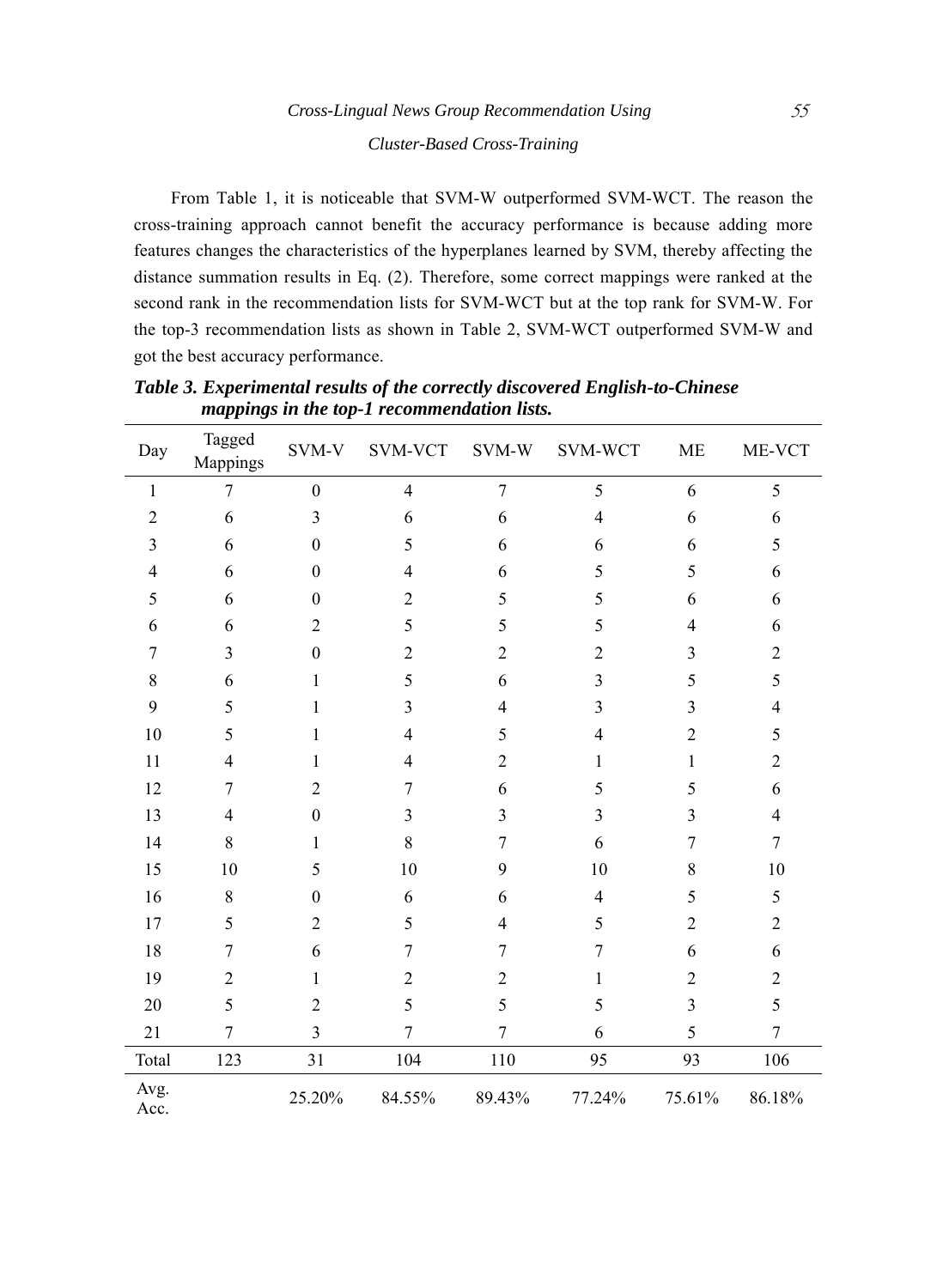From Table 1, it is noticeable that SVM-W outperformed SVM-WCT. The reason the cross-training approach cannot benefit the accuracy performance is because adding more features changes the characteristics of the hyperplanes learned by SVM, thereby affecting the distance summation results in Eq. (2). Therefore, some correct mappings were ranked at the second rank in the recommendation lists for SVM-WCT but at the top rank for SVM-W. For the top-3 recommendation lists as shown in Table 2, SVM-WCT outperformed SVM-W and got the best accuracy performance.

| Day            | Tagged<br>Mappings | SVM-V                   | SVM-VCT          | SVM-W          | SVM-WCT                 | <b>ME</b>      | ME-VCT                   |
|----------------|--------------------|-------------------------|------------------|----------------|-------------------------|----------------|--------------------------|
| $\mathbf{1}$   | 7                  | $\boldsymbol{0}$        | $\overline{4}$   | $\overline{7}$ | 5                       | 6              | 5                        |
| $\overline{2}$ | 6                  | $\overline{3}$          | 6                | 6              | $\overline{4}$          | 6              | 6                        |
| 3              | 6                  | $\boldsymbol{0}$        | 5                | 6              | 6                       | 6              | 5                        |
| 4              | 6                  | $\boldsymbol{0}$        | $\overline{4}$   | 6              | 5                       | 5              | 6                        |
| 5              | 6                  | $\boldsymbol{0}$        | $\overline{2}$   | 5              | 5                       | 6              | 6                        |
| 6              | 6                  | $\overline{2}$          | 5                | 5              | 5                       | $\overline{4}$ | 6                        |
| 7              | 3                  | $\boldsymbol{0}$        | $\sqrt{2}$       | $\overline{2}$ | $\overline{2}$          | 3              | $\boldsymbol{2}$         |
| 8              | 6                  | 1                       | 5                | 6              | $\overline{\mathbf{3}}$ | 5              | 5                        |
| 9              | 5                  | $\mathbf{1}$            | 3                | 4              | 3                       | 3              | $\overline{\mathcal{L}}$ |
| 10             | 5                  | $\mathbf{1}$            | $\overline{4}$   | 5              | $\overline{4}$          | $\overline{2}$ | 5                        |
| 11             | $\overline{4}$     | $\mathbf{1}$            | $\overline{4}$   | $\overline{c}$ | $\mathbf{1}$            | $\mathbf{1}$   | $\sqrt{2}$               |
| 12             | 7                  | $\overline{2}$          | 7                | 6              | 5                       | 5              | 6                        |
| 13             | $\overline{4}$     | $\boldsymbol{0}$        | $\overline{3}$   | 3              | 3                       | 3              | $\overline{4}$           |
| 14             | 8                  | $\mathbf{1}$            | 8                | $\overline{7}$ | 6                       | 7              | $\overline{7}$           |
| 15             | 10                 | 5                       | 10               | 9              | 10                      | 8              | 10                       |
| 16             | 8                  | $\boldsymbol{0}$        | 6                | 6              | $\overline{4}$          | 5              | 5                        |
| 17             | 5                  | $\overline{2}$          | 5                | $\overline{4}$ | 5                       | $\overline{2}$ | $\overline{2}$           |
| 18             | $\overline{7}$     | 6                       | $\overline{7}$   | $\overline{7}$ | $\overline{7}$          | 6              | 6                        |
| 19             | $\overline{2}$     | $\mathbf{1}$            | $\boldsymbol{2}$ | $\overline{c}$ | $\mathbf{1}$            | $\overline{2}$ | $\boldsymbol{2}$         |
| 20             | 5                  | $\overline{2}$          | 5                | 5              | 5                       | 3              | 5                        |
| 21             | 7                  | $\overline{\mathbf{3}}$ | $\overline{7}$   | $\overline{7}$ | 6                       | 5              | $\overline{7}$           |
| Total          | 123                | 31                      | 104              | 110            | 95                      | 93             | 106                      |
| Avg.<br>Acc.   |                    | 25.20%                  | 84.55%           | 89.43%         | 77.24%                  | 75.61%         | 86.18%                   |

*Table 3. Experimental results of the correctly discovered English-to-Chinese mappings in the top-1 recommendation lists.*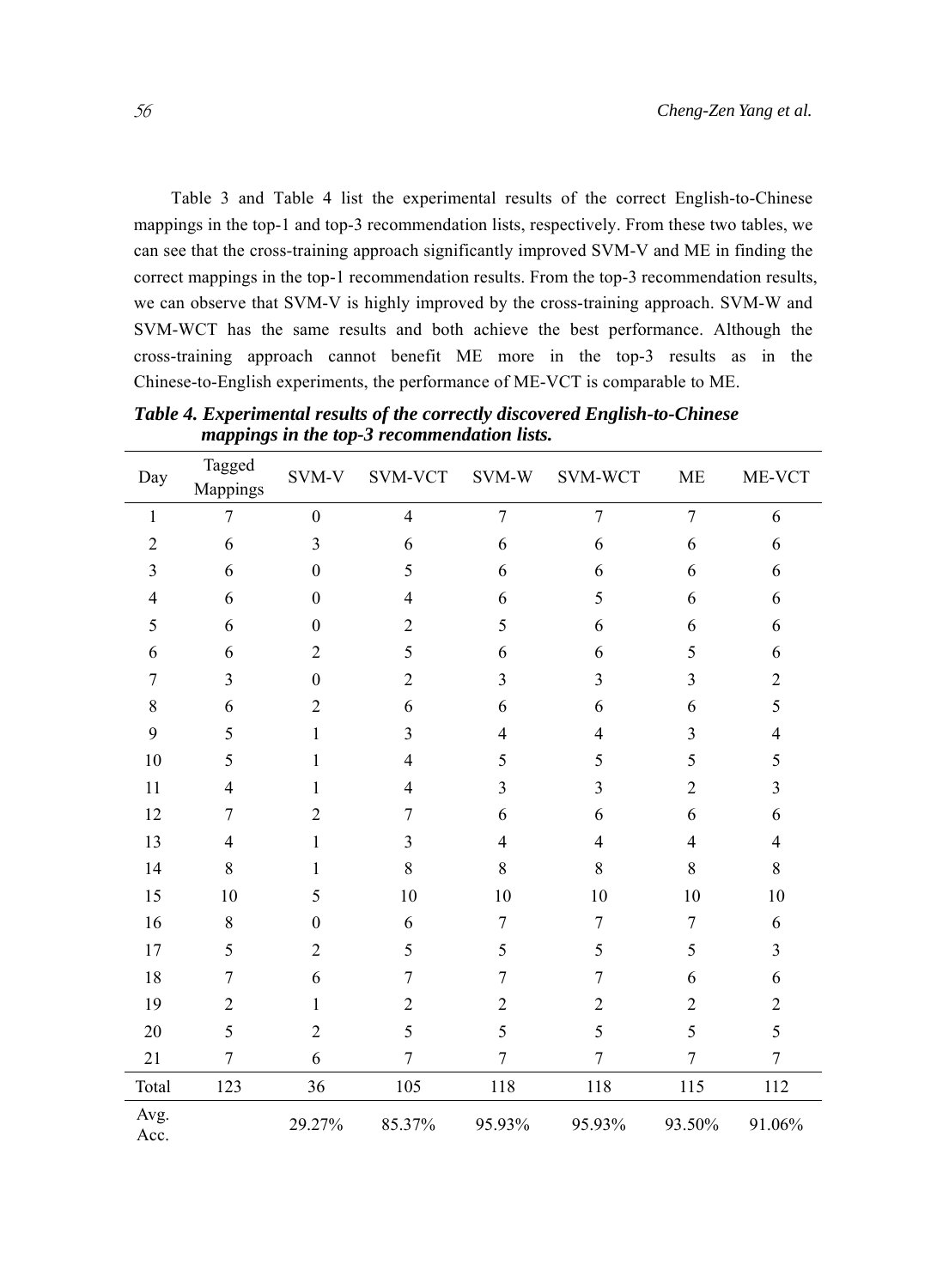Table 3 and Table 4 list the experimental results of the correct English-to-Chinese mappings in the top-1 and top-3 recommendation lists, respectively. From these two tables, we can see that the cross-training approach significantly improved SVM-V and ME in finding the correct mappings in the top-1 recommendation results. From the top-3 recommendation results, we can observe that SVM-V is highly improved by the cross-training approach. SVM-W and SVM-WCT has the same results and both achieve the best performance. Although the cross-training approach cannot benefit ME more in the top-3 results as in the Chinese-to-English experiments, the performance of ME-VCT is comparable to ME.

| Day            | Tagged<br>Mappings | SVM-V            | <b>SVM-VCT</b> | SVM-W          | SVM-WCT                 | <b>ME</b>               | ME-VCT                   |
|----------------|--------------------|------------------|----------------|----------------|-------------------------|-------------------------|--------------------------|
| 1              | $\overline{7}$     | $\boldsymbol{0}$ | $\overline{4}$ | $\overline{7}$ | $\overline{7}$          | $\overline{7}$          | 6                        |
| $\overline{2}$ | 6                  | $\mathfrak{Z}$   | 6              | 6              | 6                       | 6                       | 6                        |
| 3              | 6                  | $\theta$         | 5              | 6              | 6                       | 6                       | 6                        |
| $\overline{4}$ | 6                  | $\boldsymbol{0}$ | $\overline{4}$ | 6              | 5                       | 6                       | 6                        |
| 5              | 6                  | $\theta$         | $\overline{2}$ | 5              | 6                       | 6                       | 6                        |
| 6              | 6                  | $\overline{2}$   | 5              | 6              | 6                       | 5                       | 6                        |
| $\overline{7}$ | 3                  | $\boldsymbol{0}$ | $\overline{2}$ | $\overline{3}$ | $\overline{\mathbf{3}}$ | $\overline{\mathbf{3}}$ | $\overline{2}$           |
| 8              | 6                  | $\overline{2}$   | 6              | 6              | 6                       | 6                       | 5                        |
| 9              | 5                  | $\mathbf{1}$     | 3              | $\overline{4}$ | 4                       | 3                       | $\overline{\mathcal{A}}$ |
| 10             | 5                  | $\mathbf{1}$     | $\overline{4}$ | 5              | 5                       | 5                       | 5                        |
| 11             | $\overline{4}$     | 1                | $\overline{4}$ | 3              | 3                       | $\overline{c}$          | 3                        |
| 12             | 7                  | $\overline{2}$   | 7              | 6              | 6                       | 6                       | 6                        |
| 13             | $\overline{4}$     | $\mathbf{1}$     | 3              | $\overline{4}$ | 4                       | 4                       | 4                        |
| 14             | 8                  | 1                | 8              | $\,8\,$        | 8                       | 8                       | $8\,$                    |
| 15             | 10                 | 5                | 10             | 10             | 10                      | 10                      | 10                       |
| 16             | 8                  | $\theta$         | 6              | $\overline{7}$ | 7                       | 7                       | 6                        |
| 17             | 5                  | $\overline{2}$   | 5              | 5              | 5                       | 5                       | 3                        |
| 18             | $\overline{7}$     | 6                | 7              | 7              | 7                       | 6                       | 6                        |
| 19             | $\overline{2}$     | 1                | $\overline{2}$ | $\overline{2}$ | $\overline{2}$          | $\overline{2}$          | $\boldsymbol{2}$         |
| 20             | 5                  | $\overline{2}$   | 5              | 5              | 5                       | 5                       | 5                        |
| 21             | $\overline{7}$     | 6                | $\overline{7}$ | $\tau$         | 7                       | 7                       | 7                        |
| Total          | 123                | 36               | 105            | 118            | 118                     | 115                     | 112                      |
| Avg.<br>Acc.   |                    | 29.27%           | 85.37%         | 95.93%         | 95.93%                  | 93.50%                  | 91.06%                   |

*Table 4. Experimental results of the correctly discovered English-to-Chinese mappings in the top-3 recommendation lists.*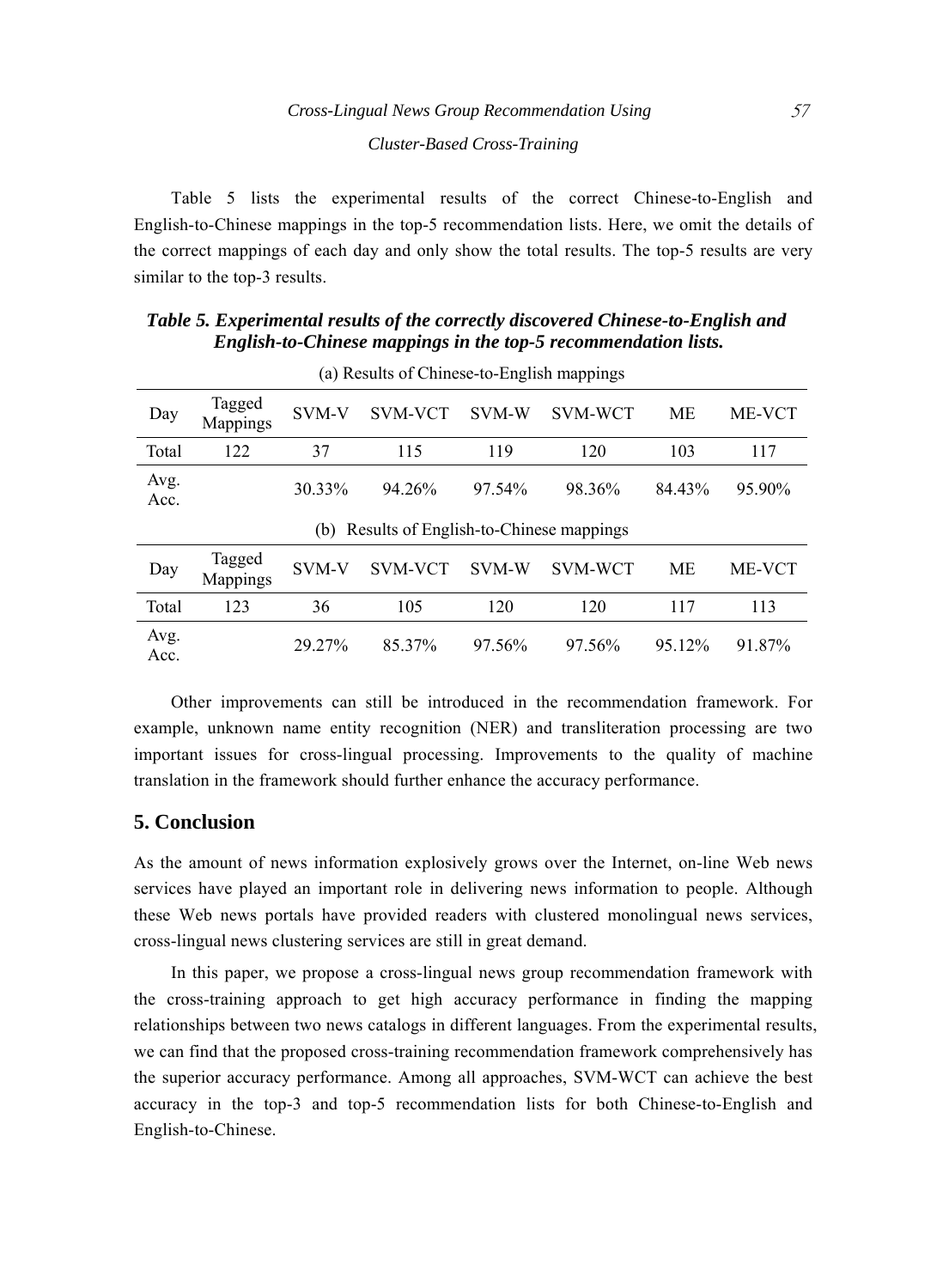Table 5 lists the experimental results of the correct Chinese-to-English and English-to-Chinese mappings in the top-5 recommendation lists. Here, we omit the details of the correct mappings of each day and only show the total results. The top-5 results are very similar to the top-3 results.

*Table 5. Experimental results of the correctly discovered Chinese-to-English and English-to-Chinese mappings in the top-5 recommendation lists.*

| Day                                           | Tagged<br><b>Mappings</b> | SVM-V        | <b>SVM-VCT</b> | SVM-W  | SVM-WCT        | МE     | <b>ME-VCT</b> |  |  |
|-----------------------------------------------|---------------------------|--------------|----------------|--------|----------------|--------|---------------|--|--|
| Total                                         | 122                       | 37           | 115            | 119    | 120            | 103    | 117           |  |  |
| Avg.<br>Acc.                                  |                           | 30.33%       | 94.26%         | 97.54% | 98.36%         | 84.43% | 95.90%        |  |  |
| Results of English-to-Chinese mappings<br>(b) |                           |              |                |        |                |        |               |  |  |
| Day                                           | Tagged<br>Mappings        | <b>SVM-V</b> | <b>SVM-VCT</b> | SVM-W  | <b>SVM-WCT</b> | МE     | <b>ME-VCT</b> |  |  |
| Total                                         | 123                       | 36           | 105            | 120    | 120            | 117    | 113           |  |  |
| Avg.<br>Acc.                                  |                           | 29.27%       | 85.37%         | 97.56% | 97.56%         | 95.12% | 91.87%        |  |  |

(a) Results of Chinese-to-English mappings

Other improvements can still be introduced in the recommendation framework. For example, unknown name entity recognition (NER) and transliteration processing are two important issues for cross-lingual processing. Improvements to the quality of machine translation in the framework should further enhance the accuracy performance.

## **5. Conclusion**

As the amount of news information explosively grows over the Internet, on-line Web news services have played an important role in delivering news information to people. Although these Web news portals have provided readers with clustered monolingual news services, cross-lingual news clustering services are still in great demand.

In this paper, we propose a cross-lingual news group recommendation framework with the cross-training approach to get high accuracy performance in finding the mapping relationships between two news catalogs in different languages. From the experimental results, we can find that the proposed cross-training recommendation framework comprehensively has the superior accuracy performance. Among all approaches, SVM-WCT can achieve the best accuracy in the top-3 and top-5 recommendation lists for both Chinese-to-English and English-to-Chinese.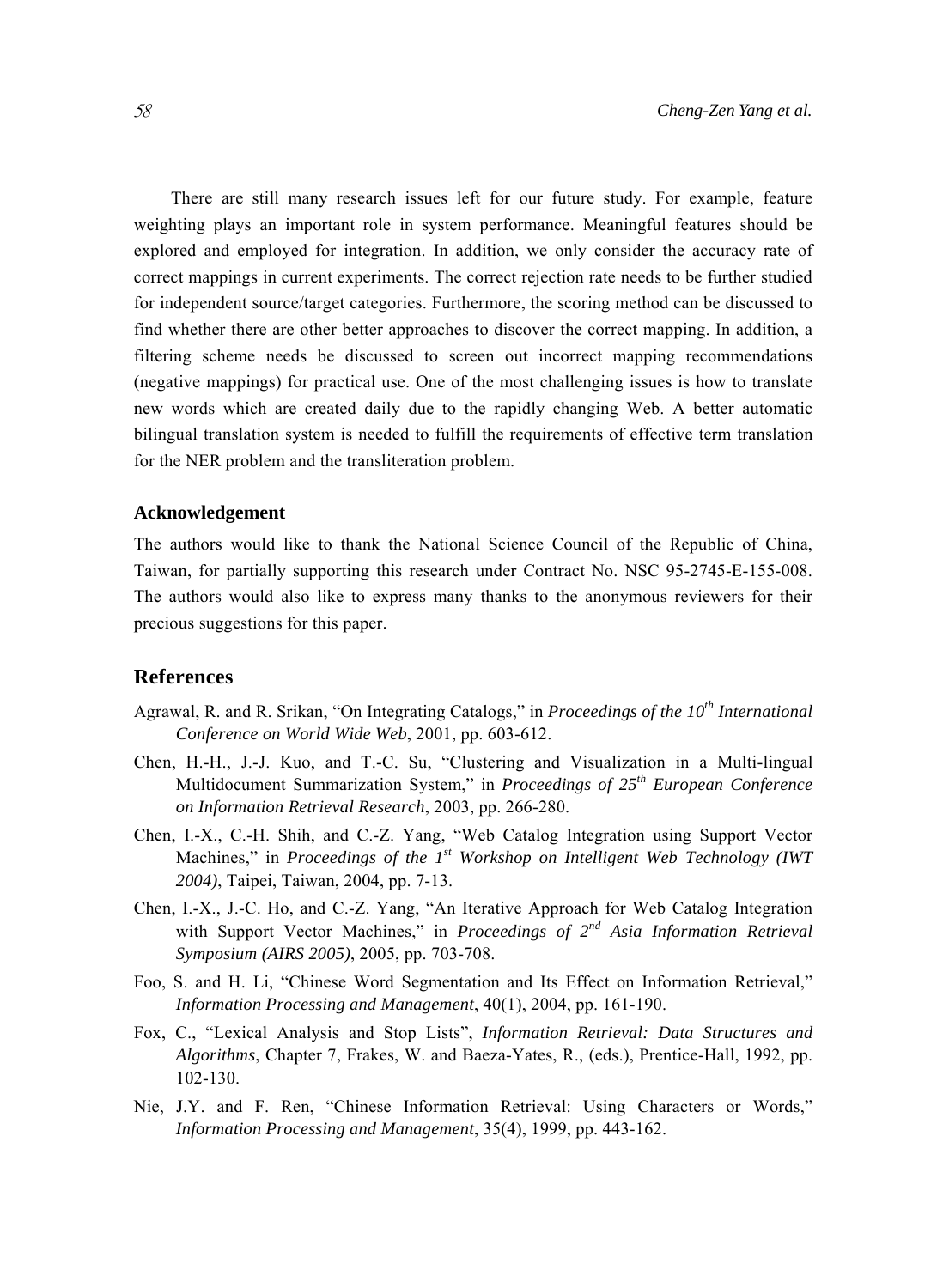There are still many research issues left for our future study. For example, feature weighting plays an important role in system performance. Meaningful features should be explored and employed for integration. In addition, we only consider the accuracy rate of correct mappings in current experiments. The correct rejection rate needs to be further studied for independent source/target categories. Furthermore, the scoring method can be discussed to find whether there are other better approaches to discover the correct mapping. In addition, a filtering scheme needs be discussed to screen out incorrect mapping recommendations (negative mappings) for practical use. One of the most challenging issues is how to translate new words which are created daily due to the rapidly changing Web. A better automatic bilingual translation system is needed to fulfill the requirements of effective term translation for the NER problem and the transliteration problem.

#### **Acknowledgement**

The authors would like to thank the National Science Council of the Republic of China, Taiwan, for partially supporting this research under Contract No. NSC 95-2745-E-155-008. The authors would also like to express many thanks to the anonymous reviewers for their precious suggestions for this paper.

#### **References**

- Agrawal, R. and R. Srikan, "On Integrating Catalogs," in *Proceedings of the 10th International Conference on World Wide Web*, 2001, pp. 603-612.
- Chen, H.-H., J.-J. Kuo, and T.-C. Su, "Clustering and Visualization in a Multi-lingual Multidocument Summarization System," in *Proceedings of 25th European Conference on Information Retrieval Research*, 2003, pp. 266-280.
- Chen, I.-X., C.-H. Shih, and C.-Z. Yang, "Web Catalog Integration using Support Vector Machines," in *Proceedings of the 1st Workshop on Intelligent Web Technology (IWT 2004)*, Taipei, Taiwan, 2004, pp. 7-13.
- Chen, I.-X., J.-C. Ho, and C.-Z. Yang, "An Iterative Approach for Web Catalog Integration with Support Vector Machines," in *Proceedings of 2nd Asia Information Retrieval Symposium (AIRS 2005)*, 2005, pp. 703-708.
- Foo, S. and H. Li, "Chinese Word Segmentation and Its Effect on Information Retrieval," *Information Processing and Management*, 40(1), 2004, pp. 161-190.
- Fox, C., "Lexical Analysis and Stop Lists", *Information Retrieval: Data Structures and Algorithms*, Chapter 7, Frakes, W. and Baeza-Yates, R., (eds.), Prentice-Hall, 1992, pp. 102-130.
- Nie, J.Y. and F. Ren, "Chinese Information Retrieval: Using Characters or Words," *Information Processing and Management*, 35(4), 1999, pp. 443-162.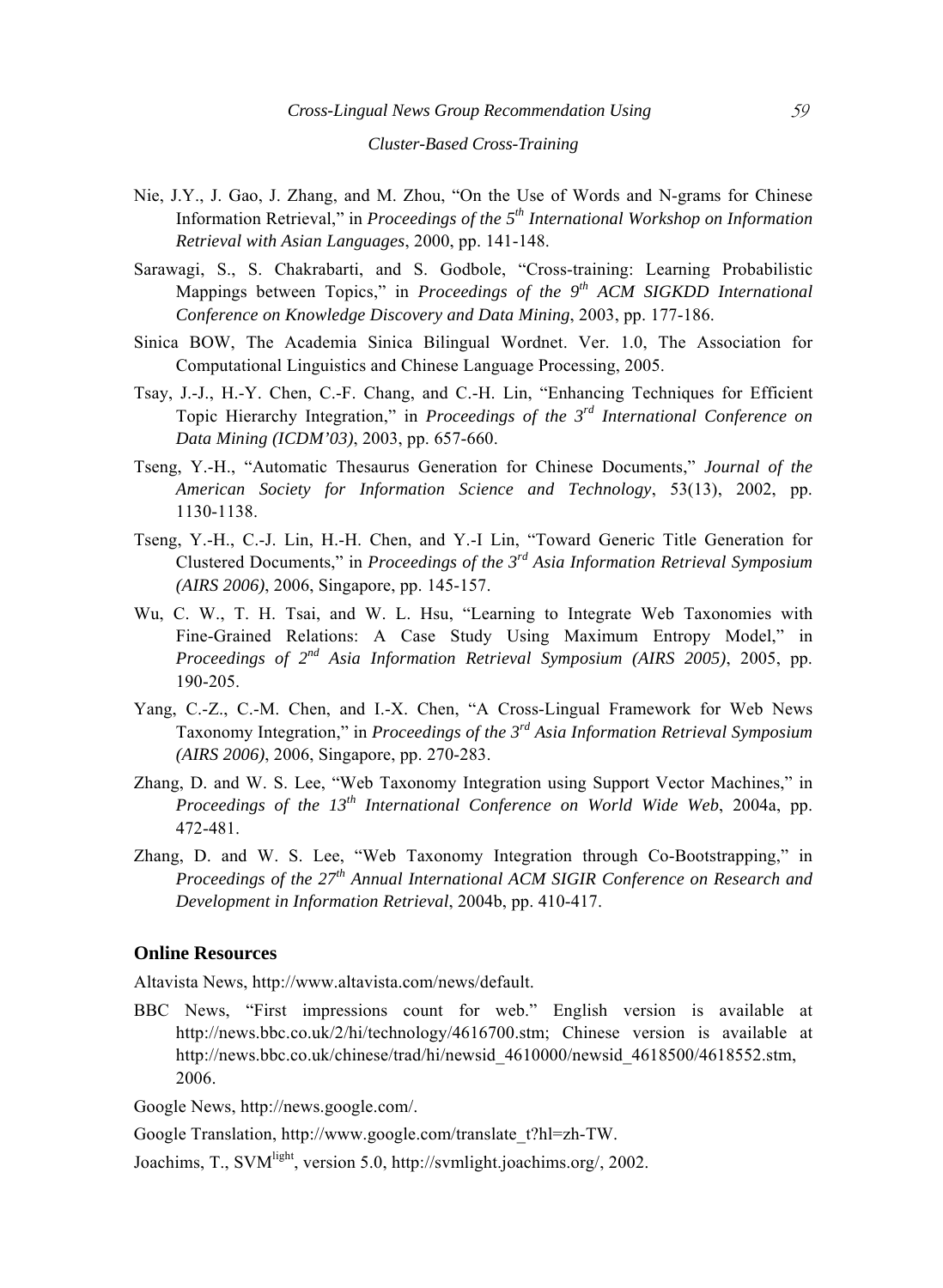## *Cluster-Based Cross-Training*

- Nie, J.Y., J. Gao, J. Zhang, and M. Zhou, "On the Use of Words and N-grams for Chinese Information Retrieval," in *Proceedings of the 5th International Workshop on Information Retrieval with Asian Languages*, 2000, pp. 141-148.
- Sarawagi, S., S. Chakrabarti, and S. Godbole, "Cross-training: Learning Probabilistic Mappings between Topics," in *Proceedings of the 9th ACM SIGKDD International Conference on Knowledge Discovery and Data Mining*, 2003, pp. 177-186.
- Sinica BOW, The Academia Sinica Bilingual Wordnet. Ver. 1.0, The Association for Computational Linguistics and Chinese Language Processing, 2005.
- Tsay, J.-J., H.-Y. Chen, C.-F. Chang, and C.-H. Lin, "Enhancing Techniques for Efficient Topic Hierarchy Integration," in *Proceedings of the 3rd International Conference on Data Mining (ICDM'03)*, 2003, pp. 657-660.
- Tseng, Y.-H., "Automatic Thesaurus Generation for Chinese Documents," *Journal of the American Society for Information Science and Technology*, 53(13), 2002, pp. 1130-1138.
- Tseng, Y.-H., C.-J. Lin, H.-H. Chen, and Y.-I Lin, "Toward Generic Title Generation for Clustered Documents," in *Proceedings of the 3rd Asia Information Retrieval Symposium (AIRS 2006)*, 2006, Singapore, pp. 145-157.
- Wu, C. W., T. H. Tsai, and W. L. Hsu, "Learning to Integrate Web Taxonomies with Fine-Grained Relations: A Case Study Using Maximum Entropy Model," in *Proceedings of 2nd Asia Information Retrieval Symposium (AIRS 2005)*, 2005, pp. 190-205.
- Yang, C.-Z., C.-M. Chen, and I.-X. Chen, "A Cross-Lingual Framework for Web News Taxonomy Integration," in *Proceedings of the 3rd Asia Information Retrieval Symposium (AIRS 2006)*, 2006, Singapore, pp. 270-283.
- Zhang, D. and W. S. Lee, "Web Taxonomy Integration using Support Vector Machines," in *Proceedings of the 13th International Conference on World Wide Web*, 2004a, pp. 472-481.
- Zhang, D. and W. S. Lee, "Web Taxonomy Integration through Co-Bootstrapping," in *Proceedings of the 27th Annual International ACM SIGIR Conference on Research and Development in Information Retrieval*, 2004b, pp. 410-417.

#### **Online Resources**

Altavista News, http://www.altavista.com/news/default.

BBC News, "First impressions count for web." English version is available at http://news.bbc.co.uk/2/hi/technology/4616700.stm; Chinese version is available at http://news.bbc.co.uk/chinese/trad/hi/newsid\_4610000/newsid\_4618500/4618552.stm, 2006.

Google News, http://news.google.com/.

Google Translation, http://www.google.com/translate\_t?hl=zh-TW.

Joachims, T., SVMlight, version 5.0, http://svmlight.joachims.org/, 2002.